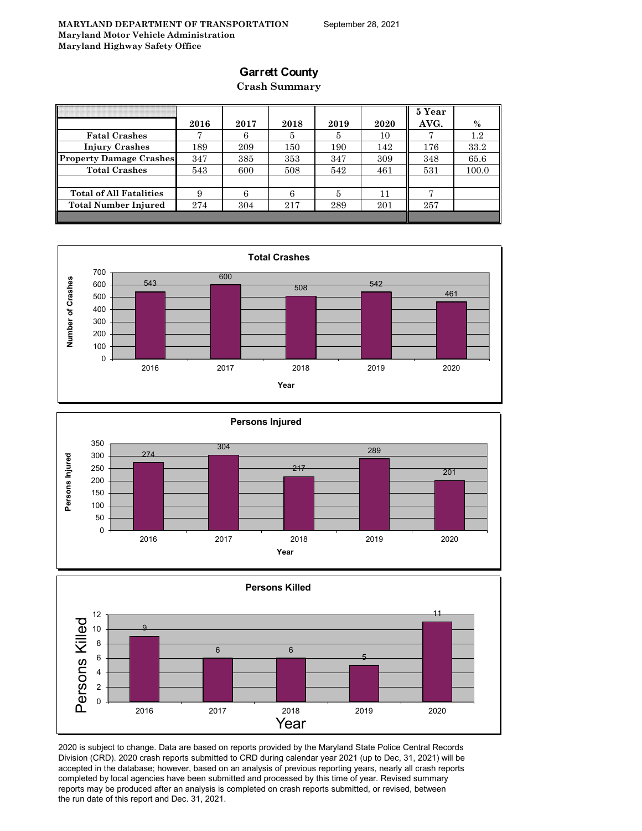### **Garrett County**

### **Crash Summary**

|                                |      |      |      |      |      | 5 Year |         |
|--------------------------------|------|------|------|------|------|--------|---------|
|                                | 2016 | 2017 | 2018 | 2019 | 2020 | AVG.   | $\%$    |
| <b>Fatal Crashes</b>           | π    | 6    | 5    | 5    | 10   |        | $1.2\,$ |
| <b>Injury Crashes</b>          | 189  | 209  | 150  | 190  | 142  | 176    | 33.2    |
| <b>Property Damage Crashes</b> | 347  | 385  | 353  | 347  | 309  | 348    | 65.6    |
| <b>Total Crashes</b>           | 543  | 600  | 508  | 542  | 461  | 531    | 100.0   |
|                                |      |      |      |      |      |        |         |
| <b>Total of All Fatalities</b> | 9    | 6    | 6    |      | 11   |        |         |
| <b>Total Number Injured</b>    | 274  | 304  | 217  | 289  | 201  | 257    |         |
|                                |      |      |      |      |      |        |         |







2020 is subject to change. Data are based on reports provided by the Maryland State Police Central Records Division (CRD). 2020 crash reports submitted to CRD during calendar year 2021 (up to Dec, 31, 2021) will be accepted in the database; however, based on an analysis of previous reporting years, nearly all crash reports completed by local agencies have been submitted and processed by this time of year. Revised summary reports may be produced after an analysis is completed on crash reports submitted, or revised, between the run date of this report and Dec. 31, 2021.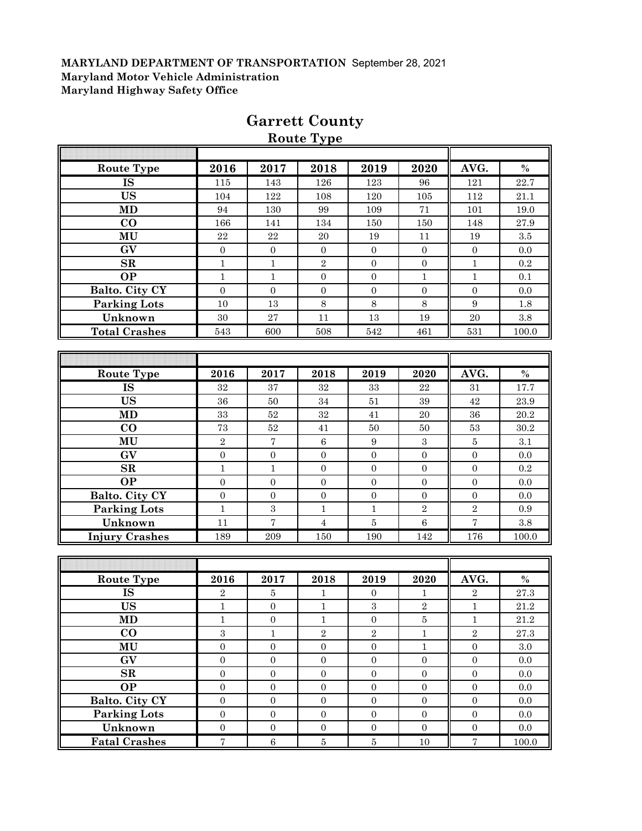| <b>Route Type</b>      | 2016             | 2017             | 2018             | 2019                    | 2020             | AVG.                    | $\%$      |
|------------------------|------------------|------------------|------------------|-------------------------|------------------|-------------------------|-----------|
| <b>IS</b>              | 115              | 143              | 126              | 123                     | 96               | 121                     | 22.7      |
| <b>US</b>              | 104              | 122              | 108              | 120                     | 105              | 112                     | 21.1      |
| <b>MD</b>              | 94               | 130              | 99               | 109                     | 71               | 101                     | 19.0      |
| CO                     | 166              | 141              | 134              | 150                     | 150              | 148                     | 27.9      |
| MU                     | 22               | 22               | 20               | 19                      | 11               | 19                      | 3.5       |
| GV                     | $\mathbf{0}$     | $\boldsymbol{0}$ | $\boldsymbol{0}$ | $\mathbf{0}$            | $\mathbf{0}$     | $\boldsymbol{0}$        | 0.0       |
| SR                     | $\mathbf{1}$     | $\mathbf 1$      | $\overline{2}$   | $\boldsymbol{0}$        | $\boldsymbol{0}$ | $\mathbf{1}$            | 0.2       |
| <b>OP</b>              | $\mathbf{1}$     | $\mathbf 1$      | $\boldsymbol{0}$ | $\overline{0}$          | $\mathbf{1}$     | $\mathbf{1}$            | 0.1       |
| Balto. City CY         | $\overline{0}$   | $\boldsymbol{0}$ | $\boldsymbol{0}$ | $\boldsymbol{0}$        | $\mathbf{0}$     | $\boldsymbol{0}$        | 0.0       |
| <b>Parking Lots</b>    | 10               | 13               | $\,8\,$          | 8                       | 8                | 9                       | 1.8       |
| Unknown                | 30               | $\sqrt{27}$      | 11               | 13                      | 19               | 20                      | $\!.8$    |
| <b>Total Crashes</b>   | 543              | 600              | 508              | 542                     | 461              | 531                     | 100.0     |
|                        |                  |                  |                  |                         |                  |                         |           |
|                        |                  |                  |                  |                         |                  |                         |           |
| <b>Route Type</b>      | 2016             | 2017             | 2018             | 2019                    | 2020             | AVG.                    | $\%$      |
| $\overline{\text{IS}}$ | 32               | 37               | 32               | 33                      | 22               | 31                      | 17.7      |
| <b>US</b>              | 36               | 50               | 34               | 51                      | 39               | 42                      | 23.9      |
| <b>MD</b>              | 33               | $52\,$           | $32\,$           | 41                      | $20\,$           | 36                      | 20.2      |
| $\bf CO$               | 73               | $52\,$           | 41               | 50                      | 50               | 53                      | 30.2      |
| MU                     | $\sqrt{2}$       | $\sqrt{ }$       | $\,6\,$          | 9                       | $\sqrt{3}$       | $\bf 5$                 | 3.1       |
| GV                     | $\boldsymbol{0}$ | $\boldsymbol{0}$ | $\boldsymbol{0}$ | $\mathbf{0}$            | $\boldsymbol{0}$ | $\mathbf{0}$            | 0.0       |
| SR                     | $\mathbf{1}$     | $\mathbf{1}$     | $\boldsymbol{0}$ | $\boldsymbol{0}$        | $\overline{0}$   | $\overline{0}$          | $\rm 0.2$ |
| <b>OP</b>              | $\mathbf{0}$     | $\boldsymbol{0}$ | $\boldsymbol{0}$ | $\overline{0}$          | $\mathbf{0}$     | $\mathbf{0}$            | 0.0       |
| Balto. City CY         | $\mathbf{0}$     | $\boldsymbol{0}$ | $\boldsymbol{0}$ | $\boldsymbol{0}$        | $\boldsymbol{0}$ | $\boldsymbol{0}$        | 0.0       |
| <b>Parking Lots</b>    | $\mathbf{1}$     | $\boldsymbol{3}$ | $\mathbf{1}$     | $\mathbf{1}$            | $\sqrt{2}$       | $\overline{2}$          | 0.9       |
| Unknown                | 11               | $\overline{7}$   | $\overline{4}$   | $\bf 5$                 | $\overline{6}$   | $\overline{\mathbf{7}}$ | 3.8       |
| <b>Injury Crashes</b>  | 189              | 209              | 150              | 190                     | 142              | 176                     | 100.0     |
|                        |                  |                  |                  |                         |                  |                         |           |
|                        |                  |                  |                  |                         |                  |                         |           |
| <b>Route Type</b>      | 2016             | 2017             | 2018             | 2019                    | 2020             | AVG.                    | $\%$      |
| <b>IS</b>              | $\overline{2}$   | $\bf 5$          | 1                | $\mathbf{0}$            | 1                | $\,2$                   | 27.3      |
| <b>US</b>              | $\mathbf{1}$     | $\mathbf 0$      | $\mathbf 1$      | $\overline{\mathbf{3}}$ | $\sqrt{2}$       | $\mathbf{1}$            | 21.2      |
| <b>MD</b>              | $\,1$            | $\boldsymbol{0}$ | $1\,$            | $\boldsymbol{0}$        | $\bf 5$          | $\,1$                   | $21.2\,$  |
| $\bf{CO}$              | $\overline{3}$   | $\mathbf{1}$     | $\overline{2}$   | $\overline{2}$          | $\mathbf{1}$     | $\overline{2}$          | $27.3\,$  |
| MU                     | $\boldsymbol{0}$ | $\boldsymbol{0}$ | $\boldsymbol{0}$ | $\boldsymbol{0}$        | $\mathbf 1$      | $\boldsymbol{0}$        | $3.0\,$   |
| $\mathbf{G}\mathbf{V}$ | $\boldsymbol{0}$ | $\boldsymbol{0}$ | $\boldsymbol{0}$ | $\boldsymbol{0}$        | $\boldsymbol{0}$ | $\boldsymbol{0}$        | $0.0\,$   |
| $\mathbf{SR}$          | $\overline{0}$   | $\mathbf{0}$     | $\boldsymbol{0}$ | $\overline{0}$          | $\boldsymbol{0}$ | $\boldsymbol{0}$        | 0.0       |
| <b>OP</b>              | $\boldsymbol{0}$ | $\boldsymbol{0}$ | $\boldsymbol{0}$ | $\boldsymbol{0}$        | $\boldsymbol{0}$ | $\boldsymbol{0}$        | $0.0\,$   |
| Balto. City CY         | $\boldsymbol{0}$ | $\boldsymbol{0}$ | $\boldsymbol{0}$ | $\overline{0}$          | $\mathbf{0}$     | $\boldsymbol{0}$        | $0.0\,$   |
| <b>Parking Lots</b>    | $\boldsymbol{0}$ | $\boldsymbol{0}$ | $\boldsymbol{0}$ | $\boldsymbol{0}$        | $\boldsymbol{0}$ | $\boldsymbol{0}$        | $0.0\,$   |
| Unknown                | $\boldsymbol{0}$ | $\boldsymbol{0}$ | $\boldsymbol{0}$ | $\boldsymbol{0}$        | $\boldsymbol{0}$ | $\boldsymbol{0}$        | 0.0       |
| <b>Fatal Crashes</b>   | $\boldsymbol{7}$ | $\,6\,$          | $\bf 5$          | $5\,$                   | $10\,$           | $\sqrt{ }$              | 100.0     |

# **Garrett County Route Type**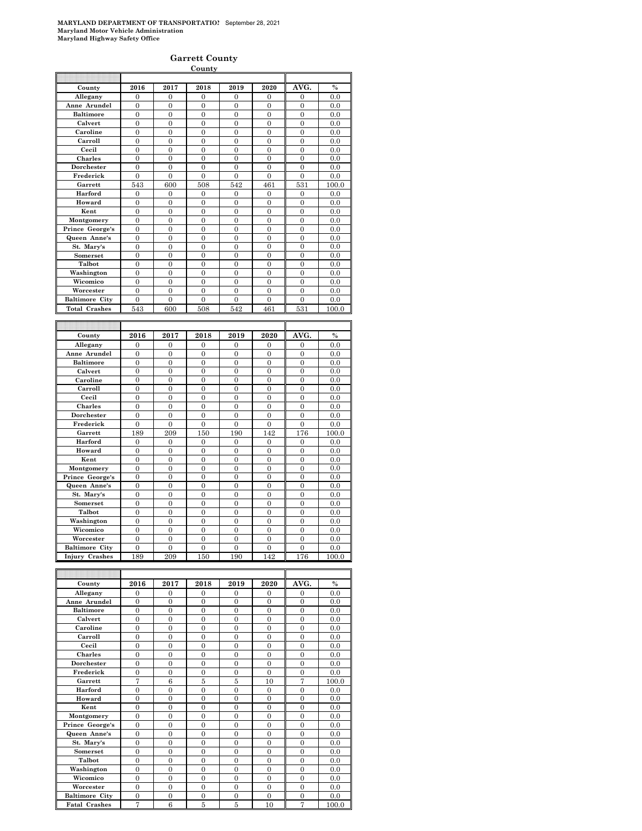#### **Garrett County**

|                                                |                     |                       | County                |                         |                       |                       |               |
|------------------------------------------------|---------------------|-----------------------|-----------------------|-------------------------|-----------------------|-----------------------|---------------|
|                                                |                     |                       |                       |                         |                       |                       |               |
| County                                         | 2016                | 2017                  | 2018                  | 2019                    | 2020                  | AVG.                  | $\frac{0}{0}$ |
| Allegany                                       | $\overline{0}$      | $\overline{0}$        | $\overline{0}$        | $\overline{0}$          | $\overline{0}$        | $\Omega$              | 0.0           |
| Anne Arundel                                   | $\boldsymbol{0}$    | $\boldsymbol{0}$      | $\boldsymbol{0}$      | $\boldsymbol{0}$        | $\mathbf{0}$          | $\boldsymbol{0}$      | 0.0           |
| <b>Baltimore</b>                               | $\overline{0}$      | $\overline{0}$        | $\overline{0}$        | $\overline{0}$          | $\overline{0}$        | $\overline{0}$        | 0.0           |
| Calvert                                        | $\overline{0}$      | $\overline{0}$        | $\theta$              | $\overline{0}$          | $\theta$              | $\mathbf{0}$          | 0.0           |
| Caroline                                       | 0                   | $\overline{0}$        | $\mathbf{0}$          | $\overline{0}$          | $\mathbf{0}$          | $\mathbf{0}$          | 0.0           |
| Carroll                                        | $\overline{0}$      | $\overline{0}$        | $\overline{0}$        | $\overline{0}$          | $\overline{0}$        | $\overline{0}$        | 0.0           |
| Cecil                                          | $\overline{0}$      | $\overline{0}$        | $\overline{0}$        | $\mathbf{0}$            | $\overline{0}$        | $\mathbf{0}$          | 0.0           |
| <b>Charles</b>                                 | $\mathbf{0}$        | $\mathbf{0}$          | $\boldsymbol{0}$      | $\boldsymbol{0}$        | $\mathbf{0}$          | $\boldsymbol{0}$      | 0.0           |
| Dorchester                                     | $\overline{0}$      | $\overline{0}$        | $\overline{0}$        | $\overline{0}$          | $\overline{0}$        | $\mathbf{0}$          | 0.0           |
| Frederick                                      | $\overline{0}$      | $\overline{0}$        | $\overline{0}$        | $\overline{0}$          | $\overline{0}$        | $\overline{0}$        | 0.0           |
| Garrett                                        | 543                 | 600                   | 508                   | 542                     | 461                   | 531                   | 100.0         |
| Harford                                        | $\overline{0}$      | $\mathbf{0}$          | $\overline{0}$        | $\boldsymbol{0}$        | $\overline{0}$        | $\mathbf{0}$          | 0.0           |
| Howard                                         | $\theta$            | $\Omega$              | $\Omega$              | $\overline{0}$          | $\theta$              | $\Omega$              | 0.0           |
| Kent                                           | $\overline{0}$      | $\mathbf{0}$          | $\overline{0}$        | $\overline{0}$          | $\mathbf{0}$          | $\mathbf{0}$          | 0.0           |
| Montgomery                                     | $\mathbf{0}$        | $\boldsymbol{0}$      | $\mathbf{0}$          | $\boldsymbol{0}$        | $\mathbf{0}$          | $\mathbf{0}$          | 0.0           |
| Prince George's                                | $\overline{0}$      | $\overline{0}$        | $\overline{0}$        | $\overline{0}$          | $\overline{0}$        | $\overline{0}$        | 0.0           |
| Queen Anne's                                   | $\overline{0}$      | $\mathbf{0}$          | $\overline{0}$        | $\overline{0}$          | $\overline{0}$        | $\overline{0}$        | 0.0           |
| St. Mary's                                     | $\overline{0}$      | $\overline{0}$        | $\overline{0}$        | $\overline{0}$          | $\overline{0}$        | $\overline{0}$        | 0.0           |
| Somerset                                       | $\overline{0}$      | $\overline{0}$        | $\overline{0}$        | $\overline{0}$          | $\overline{0}$        | $\overline{0}$        | 0.0           |
| Talbot                                         | $\theta$            | $\theta$              | $\theta$              | $\theta$                | $\theta$              | $\overline{0}$        | 0.0           |
| Washington                                     | $\overline{0}$      | $\overline{0}$        | $\overline{0}$        | $\overline{0}$          | $\overline{0}$        | $\overline{0}$        | 0.0           |
| Wicomico                                       | 0                   | $\overline{0}$        | $\overline{0}$        | 0                       | $\mathbf{0}$          | $\mathbf{0}$          | 0.0           |
| Worcester                                      | $\theta$            | $\Omega$              | $\theta$              | $\theta$                | $\theta$              | $\theta$              | 0.0           |
| <b>Baltimore City</b>                          | $\mathbf{0}$        | $\mathbf{0}$          | $\boldsymbol{0}$      | $\boldsymbol{0}$        | $\mathbf{0}$          | $\mathbf{0}$          | 0.0           |
| <b>Total Crashes</b>                           | 543                 | 600                   | 508                   | 542                     | 461                   | 531                   | 100.0         |
|                                                |                     |                       |                       |                         |                       |                       |               |
|                                                |                     |                       |                       |                         |                       |                       |               |
|                                                |                     |                       |                       |                         |                       |                       |               |
|                                                |                     |                       |                       |                         |                       |                       |               |
| County                                         | 2016                | 2017                  | 2018                  | 2019                    | 2020                  | AVG.                  | $\%$          |
| Allegany                                       | 0                   | $\mathbf{0}$          | $\mathbf{0}$          | 0                       | $\mathbf{0}$          | $\mathbf{0}$          | 0.0           |
| Anne Arundel                                   | $\overline{0}$      | $\Omega$              | $\Omega$              | $\overline{0}$          | $\overline{0}$        | $\overline{0}$        | 0.0           |
| <b>Baltimore</b>                               | $\boldsymbol{0}$    | $\boldsymbol{0}$      | $\boldsymbol{0}$      | $\boldsymbol{0}$        | $\mathbf{0}$          | $\mathbf{0}$          | 0.0           |
| Calvert                                        | $\mathbf{0}$        | $\mathbf{0}$          | $\mathbf{0}$          | $\mathbf{0}$            | $\bf{0}$              | $\boldsymbol{0}$      | 0.0           |
| Caroline                                       | $\overline{0}$      | $\overline{0}$        | $\overline{0}$        | $\overline{0}$          | $\overline{0}$        | $\overline{0}$        | 0.0           |
| Carroll                                        | $\boldsymbol{0}$    | $\boldsymbol{0}$      | $\boldsymbol{0}$      | $\boldsymbol{0}$        | $\mathbf{0}$          | $\mathbf{0}$          | 0.0           |
| Cecil                                          | $\overline{0}$      | $\overline{0}$        | $\overline{0}$        | $\overline{0}$          | $\overline{0}$        | $\overline{0}$        | 0.0           |
| Charles                                        | $\overline{0}$      | $\theta$              | $\theta$              | $\overline{0}$          | $\theta$              | $\overline{0}$        | 0.0           |
| Dorchester                                     | $\overline{0}$      | $\overline{0}$        | $\overline{0}$        | $\overline{0}$          | $\overline{0}$        | $\overline{0}$        | 0.0           |
| Frederick                                      | $\overline{0}$      | $\overline{0}$        | $\overline{0}$        | 0                       | $\mathbf{0}$          | $\mathbf{0}$          | 0.0           |
| Garrett                                        | 189                 | 209                   | 150                   | 190                     | 142                   | 176                   | 100.0         |
| Harford                                        | $\mathbf{0}$        | $\boldsymbol{0}$      | $\boldsymbol{0}$      | $\boldsymbol{0}$        | $\mathbf{0}$          | $\mathbf{0}$          | 0.0           |
| Howard                                         | $\mathbf{0}$        | $\mathbf{0}$          | $\mathbf{0}$          | $\mathbf{0}$            | 0                     | $\boldsymbol{0}$      | 0.0           |
| Kent                                           | $\overline{0}$      | $\overline{0}$        | $\overline{0}$        | $\overline{0}$          | $\overline{0}$        | $\overline{0}$        | 0.0           |
| Montgomery                                     | $\overline{0}$      | $\boldsymbol{0}$      | $\overline{0}$        | $\boldsymbol{0}$        | $\mathbf{0}$          | $\overline{0}$        | 0.0           |
| Prince George's                                | $\overline{0}$      | $\overline{0}$        | $\overline{0}$        | $\overline{0}$          | $\overline{0}$        | $\boldsymbol{0}$      | 0.0           |
| Queen Anne's                                   | $\overline{0}$      | $\theta$              | $\theta$              | $\overline{0}$          | $\theta$              | $\overline{0}$        | 0.0           |
| St. Mary's                                     | $\overline{0}$      | $\overline{0}$        | $\theta$              | $\overline{0}$          | $\overline{0}$        | $\overline{0}$        | 0.0           |
| Somerset                                       | $\overline{0}$      | $\overline{0}$        | $\overline{0}$        | $\overline{0}$          | $\mathbf{0}$          | $\mathbf{0}$          | 0.0           |
| Talbot                                         | $\overline{0}$      | $\overline{0}$        | $\overline{0}$        | $\overline{0}$          | $\overline{0}$        | $\overline{0}$        | 0.0           |
| Washington                                     | $\boldsymbol{0}$    | $\boldsymbol{0}$      | $\overline{0}$        | $\boldsymbol{0}$        | $\mathbf{0}$          | $\boldsymbol{0}$      | 0.0           |
| Wicomico                                       | $\overline{0}$      | $\overline{0}$        | $\mathbf{0}$          | $\overline{0}$          | $\overline{0}$        | $\boldsymbol{0}$      | 0.0           |
| Worcester                                      | $\overline{0}$      | $\overline{0}$        | $\overline{0}$        | $\boldsymbol{0}$        | $\overline{0}$        | $\overline{0}$        | 0.0           |
| <b>Baltimore City</b><br><b>Injury Crashes</b> | $\mathbf{0}$<br>189 | $\overline{0}$<br>209 | $\overline{0}$<br>150 | $\boldsymbol{0}$<br>190 | $\overline{0}$<br>142 | $\overline{0}$<br>176 | 0.0<br>100.0  |

| County                | 2016           | 2017     | 2018     | 2019     | 2020     | AVG.           | $\frac{0}{0}$ |
|-----------------------|----------------|----------|----------|----------|----------|----------------|---------------|
| Allegany              | $\Omega$       | $\Omega$ | $\Omega$ | $\Omega$ | $\Omega$ | $\Omega$       | 0.0           |
| Anne Arundel          | $\Omega$       | $\theta$ | $\theta$ | $\Omega$ | $\Omega$ | $\theta$       | 0.0           |
| <b>Baltimore</b>      | $\theta$       | $\Omega$ | $\theta$ | $\Omega$ | $\theta$ | $\theta$       | 0.0           |
| Calvert               | $\Omega$       | $\Omega$ | $\Omega$ | $\Omega$ | $\Omega$ | $\theta$       | 0.0           |
| Caroline              | $\theta$       | $\Omega$ | $\Omega$ | $\Omega$ | $\theta$ | $\theta$       | 0.0           |
| Carroll               | $\Omega$       | $\Omega$ | $\Omega$ | $\Omega$ | $\theta$ | $\theta$       | 0.0           |
| Cecil                 | $\theta$       | $\Omega$ | $\Omega$ | $\Omega$ | $\theta$ | $\theta$       | 0.0           |
| <b>Charles</b>        | $\theta$       | $\Omega$ | $\Omega$ | $\Omega$ | $\theta$ | $\theta$       | 0.0           |
| Dorchester            | $\overline{0}$ | $\Omega$ | $\Omega$ | $\Omega$ | $\theta$ | $\theta$       | 0.0           |
| Frederick             | $\theta$       | $\theta$ | $\theta$ | $\Omega$ | $\theta$ | $\theta$       | 0.0           |
| Garrett               | 7              | 6        | 5        | 5        | 10       | $\overline{7}$ | 100.0         |
| Harford               | $\Omega$       | $\Omega$ | $\Omega$ | $\Omega$ | $\Omega$ | $\overline{0}$ | 0.0           |
| Howard                | $\theta$       | $\theta$ | $\theta$ | $\Omega$ | $\theta$ | $\theta$       | 0.0           |
| Kent                  | $\overline{0}$ | $\Omega$ | $\Omega$ | $\Omega$ | $\theta$ | $\overline{0}$ | 0.0           |
| Montgomery            | $\Omega$       | $\Omega$ | $\Omega$ | $\Omega$ | $\theta$ | $\theta$       | 0.0           |
| Prince George's       | $\theta$       | $\Omega$ | $\Omega$ | $\Omega$ | $\Omega$ | $\theta$       | 0.0           |
| Queen Anne's          | $\Omega$       | $\Omega$ | $\Omega$ | $\Omega$ | $\theta$ | $\theta$       | 0.0           |
| St. Mary's            | $\Omega$       | $\Omega$ | $\Omega$ | $\Omega$ | $\theta$ | $\theta$       | 0.0           |
| <b>Somerset</b>       | $\theta$       | $\Omega$ | $\Omega$ | $\Omega$ | $\theta$ | $\theta$       | 0.0           |
| Talbot                | $\Omega$       | $\Omega$ | $\Omega$ | $\Omega$ | $\theta$ | $\theta$       | 0.0           |
| Washington            | $\mathbf{0}$   | $\Omega$ | $\Omega$ | $\Omega$ | $\theta$ | $\overline{0}$ | 0.0           |
| Wicomico              | $\Omega$       | $\Omega$ | $\Omega$ | $\Omega$ | $\theta$ | $\theta$       | 0.0           |
| Worcester             | $\theta$       | $\theta$ | $\theta$ | $\Omega$ | $\theta$ | $\theta$       | 0.0           |
| <b>Baltimore City</b> | $\mathbf{0}$   | $\Omega$ | $\Omega$ | $\Omega$ | $\Omega$ | $\overline{0}$ | 0.0           |
| <b>Fatal Crashes</b>  | 7              | 6        | 5        | 5        | 10       | 7              | 100.0         |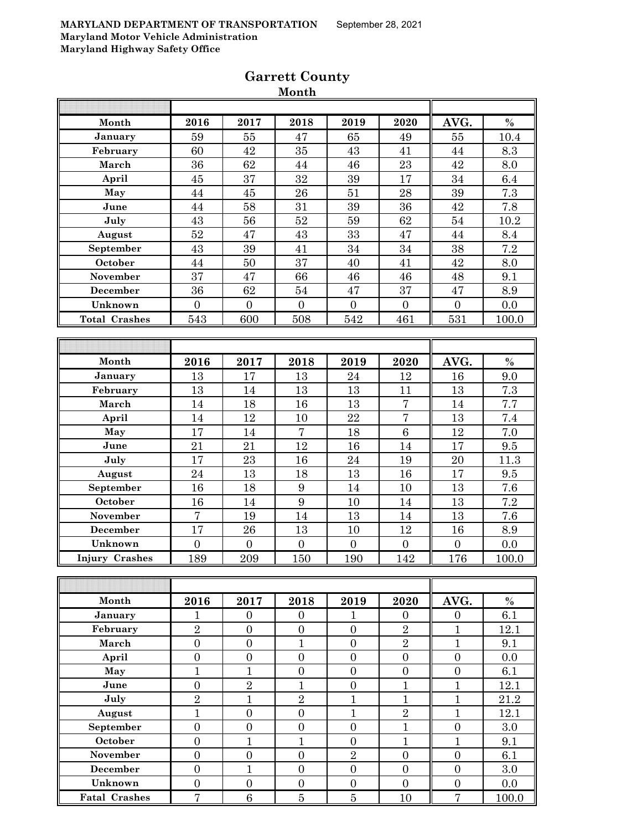|                       |                     |                  | wivilvil                         |                  |                                  |                                |         |
|-----------------------|---------------------|------------------|----------------------------------|------------------|----------------------------------|--------------------------------|---------|
| Month                 | 2016                | 2017             | 2018                             | 2019             | 2020                             | AVG.                           | $\%$    |
| January               | 59                  | 55               | 47                               | 65               | 49                               | 55                             | 10.4    |
| February              | 60                  | 42               | 35                               | 43               | 41                               | 44                             | 8.3     |
| March                 | 36                  | 62               | 44                               | 46               | 23                               | 42                             | 8.0     |
| April                 | 45                  | 37               | 32                               | 39               | 17                               | 34                             | 6.4     |
| May                   | 44                  | 45               | 26                               | 51               | 28                               | 39                             | 7.3     |
| June                  | 44                  | 58               | 31                               | 39               | 36                               | 42                             | 7.8     |
| July                  | 43                  | 56               | 52                               | 59               | 62                               | $54\,$                         | 10.2    |
| August                | 52                  | 47               | 43                               | 33               | 47                               | 44                             | 8.4     |
| September             | 43                  | 39               | 41                               | 34               | 34                               | 38                             | 7.2     |
| October               | 44                  | 50               | 37                               | 40               | 41                               | 42                             | 8.0     |
| November              | 37                  | 47               | 66                               | 46               | 46                               | 48                             | 9.1     |
| December              | 36                  | 62               | 54                               | 47               | 37                               | 47                             | 8.9     |
| Unknown               | $\overline{0}$      | $\overline{0}$   | $\overline{0}$                   | $\overline{0}$   | $\overline{0}$                   | $\overline{0}$                 | 0.0     |
| <b>Total Crashes</b>  | 543                 | 600              | 508                              | 542              | 461                              | 531                            | 100.0   |
|                       |                     |                  |                                  |                  |                                  |                                |         |
|                       |                     |                  |                                  |                  |                                  |                                |         |
| Month                 | 2016                | 2017             | 2018                             | 2019             | 2020                             | AVG.                           | $\%$    |
| January               | 13                  | 17               | 13                               | 24               | 12                               | 16                             | 9.0     |
| February              | 13                  | 14               | 13                               | 13               | 11                               | 13                             | $7.3\,$ |
| March                 | 14                  | 18               | 16                               | 13               | $\overline{7}$                   | 14                             | 7.7     |
| April                 | 14                  | 12               | 10                               | 22               | $\overline{7}$                   | 13                             | $7.4\,$ |
| May                   | 17                  | 14               | $\overline{7}$                   | 18               | $\overline{6}$                   | 12                             | 7.0     |
| June                  | 21                  | 21               | 12                               | 16               | 14                               | 17                             | 9.5     |
| July                  | 17                  | 23               | 16                               | 24               | 19                               | $20\,$                         | 11.3    |
| August                | $\sqrt{24}$         | 13               | 18                               | 13               | 16                               | 17                             | 9.5     |
| September             | 16                  | 18               | $\boldsymbol{9}$                 | 14               | 10                               | 13                             | 7.6     |
| October               | 16                  | 14               | $\boldsymbol{9}$                 | 10               | 14                               | 13                             | 7.2     |
| November              | $\overline{7}$      | 19               | 14                               | 13               | 14                               | 13                             | 7.6     |
| December              | 17                  | 26               | 13                               | 10               | 12                               | $16\,$                         | 8.9     |
| Unknown               | $\boldsymbol{0}$    | $\boldsymbol{0}$ | $\boldsymbol{0}$                 | $\overline{0}$   | $\boldsymbol{0}$                 | $\overline{0}$                 | 0.0     |
| <b>Injury Crashes</b> | 189                 | 209              | 150                              | 190              | 142                              | 176                            | 100.0   |
|                       |                     |                  |                                  |                  |                                  |                                |         |
|                       |                     |                  |                                  |                  |                                  |                                |         |
| Month                 | 2016                | 2017             | 2018                             | 2019             | 2020                             | AVG.                           | $\%$    |
| January               | 1<br>$\overline{2}$ | $\overline{0}$   | $\overline{0}$                   | 1                | $\overline{0}$<br>$\overline{2}$ | $\overline{0}$<br>$\mathbf{1}$ | 6.1     |
| February              |                     | $\overline{0}$   | $\overline{0}$<br>$\overline{1}$ | $\overline{0}$   |                                  |                                | 12.1    |
| March                 | $\overline{0}$      | $\boldsymbol{0}$ |                                  | $\boldsymbol{0}$ | $\overline{2}$                   | $\mathbf{1}$                   | 9.1     |
| April                 | $\boldsymbol{0}$    | $\boldsymbol{0}$ | $\boldsymbol{0}$                 | $\boldsymbol{0}$ | $\boldsymbol{0}$                 | $\boldsymbol{0}$               | 0.0     |
| May                   | $\mathbf{1}$        | $\overline{1}$   | $\overline{0}$                   | $\overline{0}$   | $\overline{0}$                   | $\overline{0}$                 | 6.1     |
| June                  | $\boldsymbol{0}$    | $\overline{2}$   | $\mathbf{1}$                     | $\overline{0}$   | $\mathbf{1}$                     | $\mathbf{1}$                   | 12.1    |
| July                  | $\overline{2}$      | $\mathbf{1}$     | $\sqrt{2}$                       | $\mathbf{1}$     | $\mathbf{1}$                     | $\mathbf{1}$                   | 21.2    |
| August                | $\overline{1}$      | $\boldsymbol{0}$ | $\boldsymbol{0}$                 | $\mathbf{1}$     | $\sqrt{2}$                       | $\mathbf{1}$                   | 12.1    |
| September             | $\boldsymbol{0}$    | $\overline{0}$   | $\boldsymbol{0}$                 | $\boldsymbol{0}$ | $\mathbf{1}$                     | $\overline{0}$                 | 3.0     |
| October               | $\boldsymbol{0}$    | $\mathbf{1}$     | $\mathbf{1}$                     | $\overline{0}$   | $\mathbf{1}$                     | $\mathbf{1}$                   | 9.1     |
| November              | $\overline{0}$      | $\overline{0}$   | $\overline{0}$                   | $\overline{2}$   | $\overline{0}$                   | $\overline{0}$                 | 6.1     |
| <b>December</b>       | $\overline{0}$      | $\mathbf{1}$     | $\overline{0}$                   | $\overline{0}$   | $\overline{0}$                   | $\overline{0}$                 | 3.0     |
| Unknown               | $\boldsymbol{0}$    | $\boldsymbol{0}$ | $\boldsymbol{0}$                 | $\boldsymbol{0}$ | $\boldsymbol{0}$                 | $\boldsymbol{0}$               | 0.0     |
| <b>Fatal Crashes</b>  | $\overline{7}$      | $6\phantom{.}6$  | $\overline{5}$                   | $\overline{5}$   | 10                               | $\overline{7}$                 | 100.0   |

### **Garrett County Month**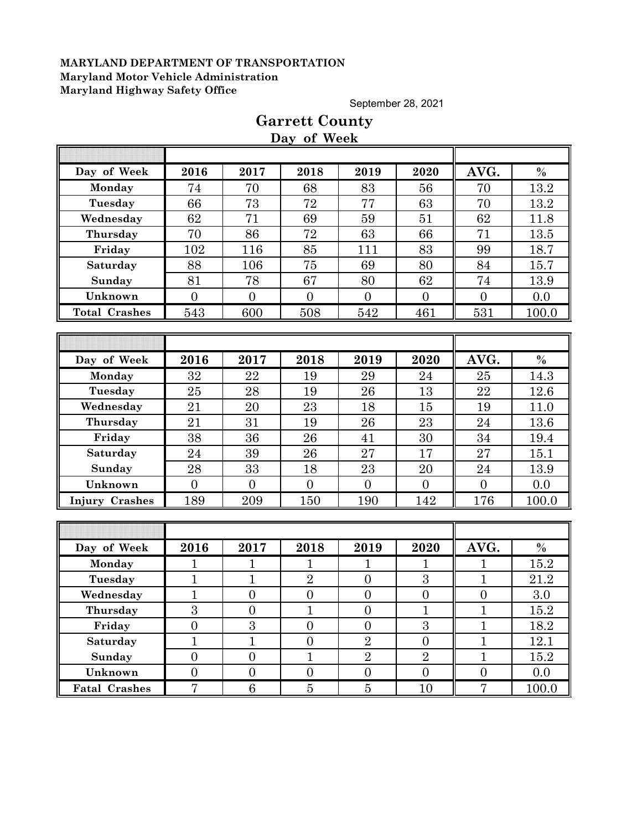September 28, 2021

# **Day of Week Day of Week 2016 2017 2018 2019 2020 AVG. % Monday | 74 | 70 | 68 | 83 | 56 || 70 | 13.2 Tuesday** 66 73 72 77 63 70 13.2 **Wednesday | 62 | 71 | 69 | 59 | 51 || 62 | 11.8 Thursday** 70 86 72 63 66 71 13.5 **Friday | 102 | 116 | 85 | 111 | 83 || 99 | 18.7** Saturday | 88 | 106 | 75 | 69 | 80 || 84 | 15.7 **Sunday | 81 | 78 | 67 | 80 | 62 || 74 | 13.9 Unknown** 0 0 0 0 0 0 0.0 **Total Crashes** 543 600 508 542 461 531 100.0 **Day of Week 2016 2017 2018 2019 2020 AVG. % Monday | 32 | 22 | 19 | 29 | 24 || 25 | 14.3 Tuesday** 25 28 19 26 13 22 12.6 **Wednesday** 21 20 23 18 15 19 11.0 **Thursday | 21 | 31 | 19 | 26 | 23 || 24 | 13.6 Friday | 38 | 36 | 26 | 41 | 30 || 34 | 19.4 Saturday 24 39 26 27 17 27 15.1 Sunday | 28 | 33 | 18 | 23 | 20 || 24 | 13.9 Unknown** 0 0 0 0 0 0 0.0 **Injury Crashes** 189 209 150 190 142 176 100.0 **Day of Week 2016 2017 2018 2019 2020 AVG. % Monday | 1 | 1 | 1 | 1 | 1 | 1 | 15.2 Tuesday | 1 | 1 | 2 | 0 | 3 || 1 | 21.2 Wednesday** 1 0 0 0 0 0 0 3.0 **Thursday | 3 | 0 | 1 | 0 | 1 | 1 | 15.2 Friday | 0 | 3 | 0 | 0 | 3 | 1 | 18.2 Saturday** 1 1 1 0 2 0 1 1 12.1 **Sunday** 0 0 1 1 2 2 1 1 1 15.2 **Unknown 0 0 0 0 0 0 0 0 0 0 Fatal Crashes** 7 6 6 5 5 10 7 100.0

# **Garrett County**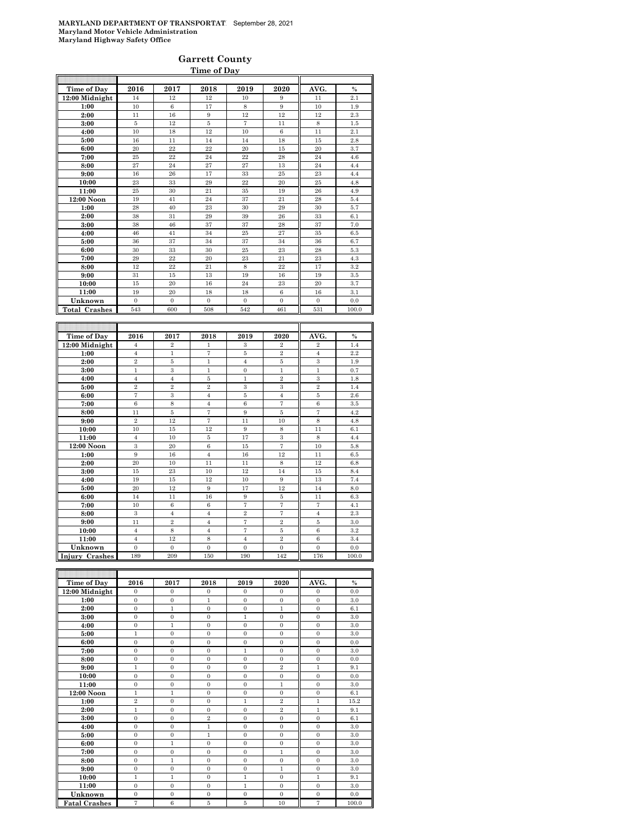### **Garrett County Time of Day**

| Time of Day          | 2016           | 2017           | 2018              | 2019                | 2020                | AVG.                 | $\%$          |
|----------------------|----------------|----------------|-------------------|---------------------|---------------------|----------------------|---------------|
| 12:00 Midnight       | 14             | 12             | 12                | 10                  | 9                   | 11                   | 2.1           |
| 1:00                 | 10             | $\,6$          | 17                | 8                   | 9                   | 10                   | 1.9           |
| 2:00                 | 11             | 16             | 9                 | 12                  | 12                  | 12                   | 2.3           |
| 3:00                 | 5              | 12             | 5                 | $\scriptstyle{7}$   | 11                  | $\,$ 8 $\,$          | 1.5           |
| 4:00                 | 10             | 18             | 12                | 10                  | $\,6$               | 11                   | 2.1           |
| 5:00                 | 16             | 11             | 14                | 14                  | 18                  | 15                   | 2.8           |
| 6:00                 | 20             | 22             | 22                | 20                  | 15                  | 20                   | 3.7           |
| 7:00                 | 25             | 22             | 24                | 22                  | 28                  | 24                   | 4.6           |
| 8:00                 | 27             | 24             | 27                | 27                  | 13                  | 24                   | 4.4           |
| 9:00                 | 16             | 26             | 17                | 33                  | 25                  | 23                   | 4.4           |
| 10:00                | 23             | 33             | 29                | 22                  | 20                  | 25                   | 4.8           |
| 11:00                | 25             | 30             | 21                | 35                  | 19                  | 26                   | 4.9           |
| 12:00 Noon           | 19             | 41             | 24                | 37                  | 21                  | 28                   | 5.4           |
| 1:00                 | 28             | 40             | 23                | 30                  | 29                  | 30                   | 5.7           |
| 2:00                 | 38             | 31             | 29                | 39                  | 26                  | 33                   | 6.1           |
| 3:00                 | 38             | 46             | 37                | 37                  | 28                  | 37                   | 7.0           |
| 4:00                 | 46             | 41             | 34                | 25                  | 27                  | 35                   | 6.5           |
| 5:00                 | 36             | 37             | 34                | 37                  | 34                  | 36                   | 6.7           |
| 6:00                 | 30             | 33             | 30                | 25                  | 23                  | 28                   | 5.3           |
| 7:00                 | 29             | 22             | 20                | 23                  | 21                  | 23                   | 4.3           |
| 8:00                 | 12             | 22             | 21                | 8                   | 22                  | 17                   | 3.2           |
| 9:00                 | 31             | 15             | 13                | 19                  | 16                  | 19                   | $\!3.5\!$     |
| 10:00                | 15             | 20             | 16                | 24                  | 23                  | 20                   | 3.7           |
| 11:00                | 19             | 20             | 18                | 18                  | 6                   | 16                   | 3.1           |
| Unknown              | $\overline{0}$ | $\mathbf{0}$   | $\mathbf{0}$      | $\boldsymbol{0}$    | 0                   | $\mathbf{0}$         | 0.0           |
| <b>Total Crashes</b> | 543            | 600            | 508               | 542                 | 461                 | 531                  | 100.0         |
|                      |                |                |                   |                     |                     |                      |               |
|                      |                |                |                   |                     |                     |                      |               |
| Time of Day          | 2016           | 2017           | 2018              | 2019                | 2020                | AVG.                 | $\frac{0}{0}$ |
| 12:00 Midnight       | $\overline{4}$ | $\overline{2}$ | 1                 | 3                   | $\overline{2}$      | $\overline{2}$       | 1.4           |
| 1:00                 | $\,4\,$        | 1              | $\scriptstyle{7}$ | 5                   | $\overline{2}$      | $\overline{4}$       | 2.2           |
| 2:00                 | $\overline{2}$ | $\bf 5$        | $\mathbf{1}$      | $\overline{4}$      | 5                   |                      |               |
| 3:00                 | $\mathbf{1}$   |                |                   |                     |                     | 3                    | 1.9           |
| 4:00                 |                | 3              | $\mathbf{1}$      | $\overline{0}$      | $\mathbf{1}$        | $\mathbf{1}$         | 0.7           |
|                      | $\overline{4}$ | $\overline{4}$ | 5                 | $\mathbf{1}$        | $\overline{2}$      | 3                    | 1.8           |
| 5:00                 | $\,2\,$        | $\overline{2}$ | $\bar{2}$         | 3                   | 3                   | $\overline{2}$       | 1.4           |
| 6:00                 | $\overline{7}$ | 3              | $\overline{4}$    | 5                   | $\overline{4}$      | 5                    | 2.6           |
| 7:00                 | 6              | 8              | $\overline{4}$    | $\,6$               | $\overline{7}$      | $\,6$                | 3.5           |
| 8:00                 | 11             | 5              | $\scriptstyle{7}$ | 9                   | 5                   | 7                    | 4.2           |
| 9:00                 | $\overline{2}$ | 12             | $\scriptstyle{7}$ | 11                  | 10                  | 8                    | 4.8           |
| 10:00                | 10             | 15             | 12                | 9                   | 8                   | 11                   | 6.1           |
| 11:00                | $\overline{4}$ | 10             | 5                 | 17                  | 3                   | 8                    | 4.4           |
| 12:00 Noon           | 3              | 20             | $\,6$             | 15                  | $\overline{7}$      | 10                   | 5.8           |
| 1:00                 | 9              | 16             | $\overline{4}$    | 16                  | 12                  | 11                   | 6.5           |
| 2:00                 | 20             | 10             | 11                | 11                  | $\,$ 8 $\,$         | 12                   | 6.8           |
| 3:00                 | 15             | 23             | 10                | 12                  | 14                  | 15                   | 8.4           |
| 4:00                 | 19             | 15             | 12                | 10                  | 9                   | 13                   | 7.4           |
| 5:00                 | 20             | 12             | 9                 | 17                  | 12                  | 14                   | 8.0           |
| 6:00<br>7:00         | 14<br>10       | 11<br>$\,6$    | 16<br>$\,6$       | 9<br>$\overline{7}$ | 5<br>$\overline{7}$ | 11<br>$\overline{7}$ | 6.3<br>4.1    |

| Time of Day          | 2016           | 2017           | 2018           | 2019         | 2020           | AVG.           | $\frac{0}{0}$ |
|----------------------|----------------|----------------|----------------|--------------|----------------|----------------|---------------|
| 12:00 Midnight       | $\mathbf{0}$   | $\mathbf{0}$   | $\mathbf{0}$   | $\mathbf{0}$ | $\mathbf{0}$   | $\mathbf{0}$   | 0.0           |
| 1:00                 | $\mathbf{0}$   | $\mathbf{0}$   | $\mathbf{1}$   | $\mathbf{0}$ | $\mathbf{0}$   | $\mathbf{0}$   | 3.0           |
| 2:00                 | $\overline{0}$ | $\mathbf{1}$   | $\overline{0}$ | $\mathbf{0}$ | $\mathbf{1}$   | $\overline{0}$ | 6.1           |
| 3:00                 | $\overline{0}$ | $\Omega$       | $\overline{0}$ | $\mathbf{1}$ | $\overline{0}$ | $\overline{0}$ | 3.0           |
| 4:00                 | $\theta$       | 1              | $\overline{0}$ | $\Omega$     | $\Omega$       | $\overline{0}$ | 3.0           |
| 5:00                 | $\mathbf{1}$   | $\Omega$       | $\mathbf{0}$   | $\Omega$     | $\Omega$       | $\overline{0}$ | 3.0           |
| 6:00                 | $\overline{0}$ | $\Omega$       | $\overline{0}$ | $\Omega$     | $\Omega$       | $\overline{0}$ | 0.0           |
| 7:00                 | $\mathbf{0}$   | $\mathbf{0}$   | $\mathbf{0}$   | 1            | $\mathbf{0}$   | $\mathbf{0}$   | 3.0           |
| 8:00                 | $\mathbf{0}$   | $\mathbf{0}$   | $\mathbf{0}$   | $\mathbf{0}$ | $\mathbf{0}$   | $\mathbf{0}$   | 0.0           |
| 9:00                 | $\mathbf{1}$   | $\Omega$       | $\mathbf{0}$   | $\Omega$     | $\overline{2}$ | $\mathbf{1}$   | 9.1           |
| 10:00                | $\overline{0}$ | $\Omega$       | $\overline{0}$ | $\Omega$     | $\overline{0}$ | $\overline{0}$ | 0.0           |
| 11:00                | $\overline{0}$ | $\Omega$       | $\mathbf{0}$   | $\Omega$     | $\mathbf{1}$   | $\overline{0}$ | 3.0           |
| 12:00 Noon           | $\mathbf{1}$   | $\mathbf{1}$   | $\mathbf{0}$   | $\mathbf{0}$ | $\overline{0}$ | $\overline{0}$ | 6.1           |
| 1:00                 | $\overline{2}$ | $\Omega$       | $\overline{0}$ | $\mathbf{1}$ | $\overline{2}$ | $\mathbf{1}$   | 15.2          |
| 2:00                 | $\mathbf{1}$   | $\Omega$       | $\mathbf{0}$   | $\mathbf{0}$ | $\overline{2}$ | $\mathbf{1}$   | 9.1           |
| 3:00                 | $\overline{0}$ | $\mathbf{0}$   | $\overline{2}$ | $\mathbf{0}$ | $\mathbf{0}$   | $\mathbf{0}$   | 6.1           |
| 4:00                 | $\overline{0}$ | $\Omega$       | $\mathbf{1}$   | $\Omega$     | $\Omega$       | $\overline{0}$ | 3.0           |
| 5:00                 | $\overline{0}$ | $\Omega$       | $\mathbf{1}$   | $\Omega$     | $\overline{0}$ | $\overline{0}$ | 3.0           |
| 6:00                 | $\overline{0}$ | $\mathbf{1}$   | $\mathbf{0}$   | $\mathbf{0}$ | $\overline{0}$ | $\overline{0}$ | 3.0           |
| 7:00                 | $\overline{0}$ | $\overline{0}$ | $\overline{0}$ | $\mathbf{0}$ | $\mathbf{1}$   | $\overline{0}$ | 3.0           |
| 8:00                 | $\overline{0}$ | 1              | $\overline{0}$ | $\Omega$     | $\Omega$       | $\overline{0}$ | 3.0           |
| 9:00                 | $\mathbf{0}$   | $\overline{0}$ | $\mathbf{0}$   | $\mathbf{0}$ | $\mathbf{1}$   | $\overline{0}$ | 3.0           |
| 10:00                | $\mathbf{1}$   | $\mathbf{1}$   | $\Omega$       | 1            | $\Omega$       | $\mathbf{1}$   | 9.1           |
| 11:00                | $\mathbf{0}$   | $\Omega$       | $\mathbf{0}$   | $\mathbf{1}$ | $\mathbf{0}$   | $\overline{0}$ | 3.0           |
| Unknown              | $\mathbf{0}$   | $\overline{0}$ | $\mathbf{0}$   | $\mathbf{0}$ | $\Omega$       | $\overline{0}$ | 0.0           |
| <b>Fatal Crashes</b> | $\overline{7}$ | 6              | 5              | 5            | 10             | 7              | 100.0         |

**9:00** 11 2 4 7 2 5 3.0 **10:00** 4 8 4 7 5 6 3.2 **11:00** 4 12 8 4 2 6 3.4 **Unknown** 0 0 0 0 0 0 0.0 **Injury Crashes** 189 | 209 | 150 | 190 | 142 | 176 | 100.0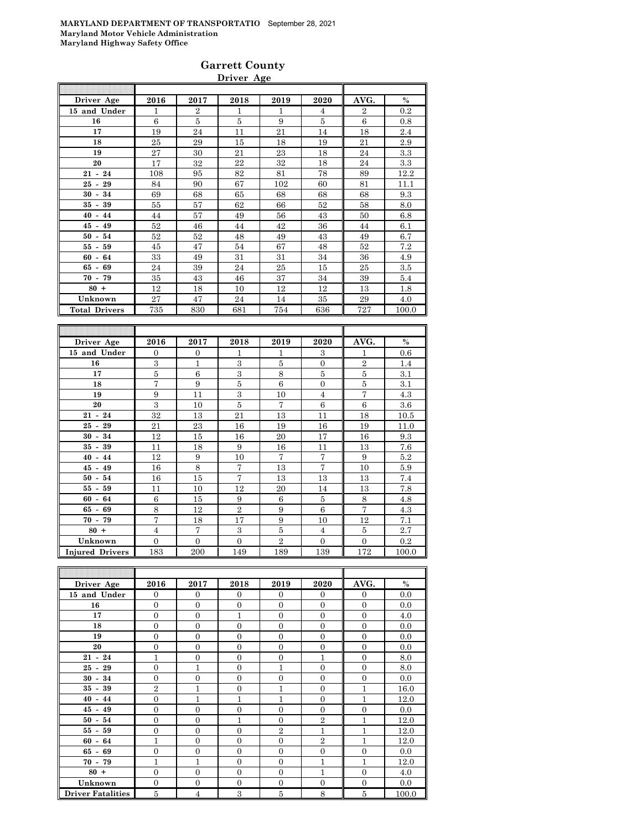| Driver Age           | 2016 | 2017           | 2018 | 2019 | 2020 | AVG.           | $\%$    |
|----------------------|------|----------------|------|------|------|----------------|---------|
| 15 and Under         | 1    | $\overline{2}$ | 1    | 1    | 4    | $\overline{2}$ | $0.2\,$ |
| 16                   | 6    | 5              | 5    | 9    | 5    | 6              | 0.8     |
| 17                   | 19   | 24             | 11   | 21   | 14   | 18             | 2.4     |
| 18                   | 25   | 29             | 15   | 18   | 19   | 21             | 2.9     |
| 19                   | 27   | 30             | 21   | 23   | 18   | 24             | $3.3\,$ |
| 20                   | 17   | 32             | 22   | 32   | 18   | 24             | 3.3     |
| $21 - 24$            | 108  | 95             | 82   | 81   | 78   | 89             | 12.2    |
| $25 - 29$            | 84   | 90             | 67   | 102  | 60   | 81             | 11.1    |
| $30 - 34$            | 69   | 68             | 65   | 68   | 68   | 68             | 9.3     |
| $35 - 39$            | 55   | 57             | 62   | 66   | 52   | 58             | 8.0     |
| $40 - 44$            | 44   | 57             | 49   | 56   | 43   | 50             | 6.8     |
| $45 - 49$            | 52   | 46             | 44   | 42   | 36   | 44             | 6.1     |
| $50 - 54$            | 52   | 52             | 48   | 49   | 43   | 49             | 6.7     |
| $55 - 59$            | 45   | 47             | 54   | 67   | 48   | 52             | 7.2     |
| $60 - 64$            | 33   | 49             | 31   | 31   | 34   | 36             | 4.9     |
| $65 - 69$            | 24   | 39             | 24   | 25   | 15   | 25             | 3.5     |
| $70 - 79$            | 35   | 43             | 46   | 37   | 34   | 39             | 5.4     |
| $80 +$               | 12   | 18             | 10   | 12   | 12   | 13             | 1.8     |
| Unknown              | 27   | 47             | 24   | 14   | 35   | 29             | 4.0     |
| <b>Total Drivers</b> | 735  | 830            | 681  | 754  | 636  | 727            | 100.0   |

| Driver Age             | 2016           | 2017           | 2018           | 2019           | 2020           | AVG.           | $\%$    |
|------------------------|----------------|----------------|----------------|----------------|----------------|----------------|---------|
| 15 and Under           | $\Omega$       | $\overline{0}$ | 1              | 1              | 3              | 1              | 0.6     |
| 16                     | 3              | $\mathbf{1}$   | 3              | 5              | $\overline{0}$ | $\sqrt{2}$     | 1.4     |
| 17                     | $\overline{5}$ | 6              | $\mathbf{a}$   | 8              | 5              | 5              | 3.1     |
| 18                     | 7              | 9              | 5              | 6              | $\overline{0}$ | 5              | 3.1     |
| 19                     | 9              | 11             | 3              | 10             | $\overline{4}$ | $\overline{7}$ | 4.3     |
| 20                     | 3              | 10             | 5              | 7              | 6              | 6              | $3.6\,$ |
| $21 - 24$              | 32             | 13             | 21             | 13             | 11             | 18             | 10.5    |
| $25 - 29$              | 21             | 23             | 16             | 19             | 16             | 19             | 11.0    |
| $30 - 34$              | 12             | 15             | 16             | 20             | 17             | 16             | 9.3     |
| $35 - 39$              | 11             | 18             | 9              | 16             | 11             | 13             | 7.6     |
| $40 - 44$              | 12             | 9              | 10             | 7              | 7              | 9              | 5.2     |
| $45 - 49$              | 16             | 8              | 7              | 13             | 7              | 10             | 5.9     |
| $50 - 54$              | 16             | 15             | 7              | 13             | 13             | 13             | 7.4     |
| $55 - 59$              | 11             | 10             | 12             | 20             | 14             | 13             | 7.8     |
| $60 - 64$              | 6              | 15             | 9              | 6              | 5              | 8              | 4.8     |
| $65 - 69$              | 8              | 12             | $\overline{2}$ | 9              | 6              | $\overline{7}$ | 4.3     |
| $70 - 79$              | $\overline{7}$ | 18             | 17             | 9              | 10             | 12             | 7.1     |
| $80 +$                 | $\overline{4}$ | $\overline{7}$ | 3              | 5              | $\overline{4}$ | 5              | 2.7     |
| Unknown                | $\Omega$       | $\Omega$       | $\Omega$       | $\overline{2}$ | $\overline{0}$ | $\Omega$       | 0.2     |
| <b>Injured Drivers</b> | 183            | 200            | 149            | 189            | 139            | 172            | 100.0   |

| Driver Age               | 2016           | 2017           | 2018           | 2019           | 2020           | AVG.           | $\%$  |
|--------------------------|----------------|----------------|----------------|----------------|----------------|----------------|-------|
| 15 and Under             | $\overline{0}$ | $\overline{0}$ | $\overline{0}$ | $\Omega$       | $\mathbf{0}$   | $\overline{0}$ | 0.0   |
| 16                       | $\overline{0}$ | $\overline{0}$ | $\overline{0}$ | $\overline{0}$ | $\overline{0}$ | $\mathbf{0}$   | 0.0   |
| 17                       | $\overline{0}$ | $\overline{0}$ | 1              | $\overline{0}$ | $\overline{0}$ | $\overline{0}$ | 4.0   |
| 18                       | $\overline{0}$ | $\overline{0}$ | $\theta$       | $\Omega$       | $\overline{0}$ | $\Omega$       | 0.0   |
| 19                       | $\overline{0}$ | $\overline{0}$ | $\mathbf{0}$   | $\overline{0}$ | $\overline{0}$ | $\overline{0}$ | 0.0   |
| 20                       | $\overline{0}$ | $\overline{0}$ | $\mathbf{0}$   | $\overline{0}$ | $\overline{0}$ | $\overline{0}$ | 0.0   |
| $21 - 24$                | 1              | $\overline{0}$ | $\theta$       | $\theta$       | 1              | $\Omega$       | 8.0   |
| $25 - 29$                | $\overline{0}$ | 1              | $\theta$       | 1              | $\overline{0}$ | $\overline{0}$ | 8.0   |
| $30 - 34$                | $\overline{0}$ | $\overline{0}$ | $\overline{0}$ | $\overline{0}$ | $\overline{0}$ | $\overline{0}$ | 0.0   |
| $35 - 39$                | $\overline{2}$ | $\mathbf{1}$   | $\overline{0}$ | 1              | $\overline{0}$ | $\mathbf{1}$   | 16.0  |
| $40 - 44$                | $\theta$       | $\mathbf{1}$   | 1              | 1              | $\overline{0}$ | $\mathbf{1}$   | 12.0  |
| $45 - 49$                | $\overline{0}$ | $\overline{0}$ | $\overline{0}$ | $\overline{0}$ | $\overline{0}$ | $\overline{0}$ | 0.0   |
| $50 - 54$                | $\overline{0}$ | $\overline{0}$ | 1              | $\overline{0}$ | $\overline{2}$ | $\mathbf{1}$   | 12.0  |
| $55 - 59$                | $\overline{0}$ | $\overline{0}$ | $\Omega$       | $\overline{2}$ | 1              | 1              | 12.0  |
| $60 - 64$                | $\mathbf{1}$   | $\overline{0}$ | $\theta$       | $\theta$       | $\overline{2}$ | 1              | 12.0  |
| $65 - 69$                | $\overline{0}$ | $\overline{0}$ | $\mathbf{0}$   | $\overline{0}$ | $\overline{0}$ | $\overline{0}$ | 0.0   |
| $70 - 79$                | $\mathbf{1}$   | $\mathbf{1}$   | $\mathbf{0}$   | $\overline{0}$ | 1              | 1              | 12.0  |
| $80 +$                   | $\overline{0}$ | $\overline{0}$ | $\theta$       | $\Omega$       | $\overline{1}$ | $\overline{0}$ | 4.0   |
| Unknown                  | $\overline{0}$ | $\overline{0}$ | $\Omega$       | $\overline{0}$ | $\overline{0}$ | $\overline{0}$ | 0.0   |
| <b>Driver Fatalities</b> | 5              | $\overline{4}$ | 3              | 5              | 8              | 5              | 100.0 |

# **Garrett County**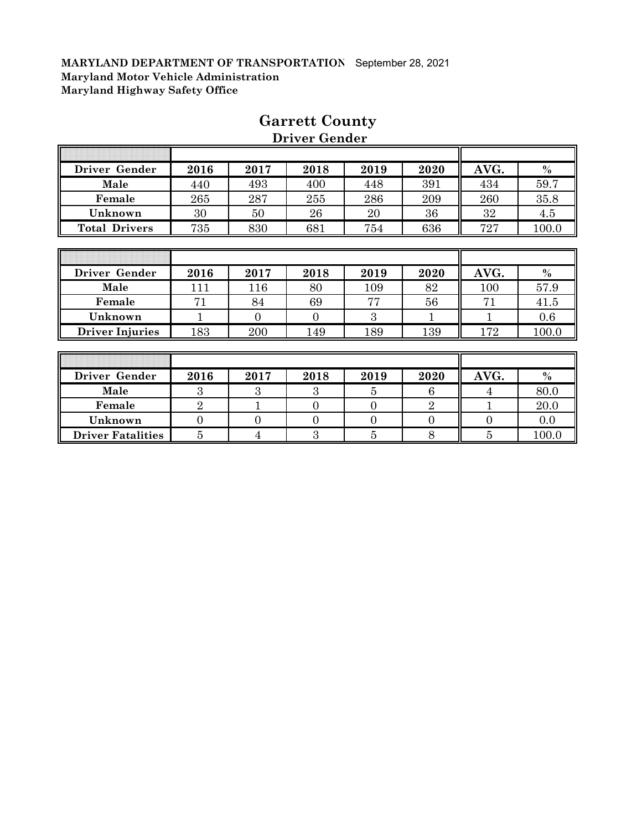| Driver Gender          | 2016           | 2017           | 2018           | 2019           | 2020           | AVG. | $\%$  |
|------------------------|----------------|----------------|----------------|----------------|----------------|------|-------|
| Male                   | 440            | 493            | 400            | 448            | 391            | 434  | 59.7  |
| Female                 | 265            | 287            | 255            | 286            | 209            | 260  | 35.8  |
| Unknown                | 30             | 50             | 26             | 20             | 36             | 32   | 4.5   |
| <b>Total Drivers</b>   | 735            | 830            | 681            | 754            | 636            | 727  | 100.0 |
|                        |                |                |                |                |                |      |       |
|                        |                |                |                |                |                |      |       |
| Driver Gender          | 2016           | 2017           | 2018           | 2019           | 2020           | AVG. | $\%$  |
| Male                   | 111            | 116            | 80             | 109            | 82             | 100  | 57.9  |
| Female                 | 71             | 84             | 69             | 77             | 56             | 71   | 41.5  |
| Unknown                |                | $\overline{0}$ | $\overline{0}$ | 3              |                |      | 0.6   |
| <b>Driver Injuries</b> | 183            | 200            | 149            | 189            | 139            | 172  | 100.0 |
|                        |                |                |                |                |                |      |       |
|                        |                |                |                |                |                |      |       |
| Driver Gender          | 2016           | 2017           | 2018           | 2019           | 2020           | AVG. | $\%$  |
| Male                   | 3              | 3              | 3              | 5              | 6              | 4    | 80.0  |
| Female                 | $\overline{2}$ |                | $\overline{0}$ | $\overline{0}$ | $\overline{2}$ |      | 20.0  |

**Unknown** 0 0 0 0 0 0 0.0 **Driver Fatalities** 5 4 3 5 8 5 100.0

# **Garrett County Driver Gender**

1

1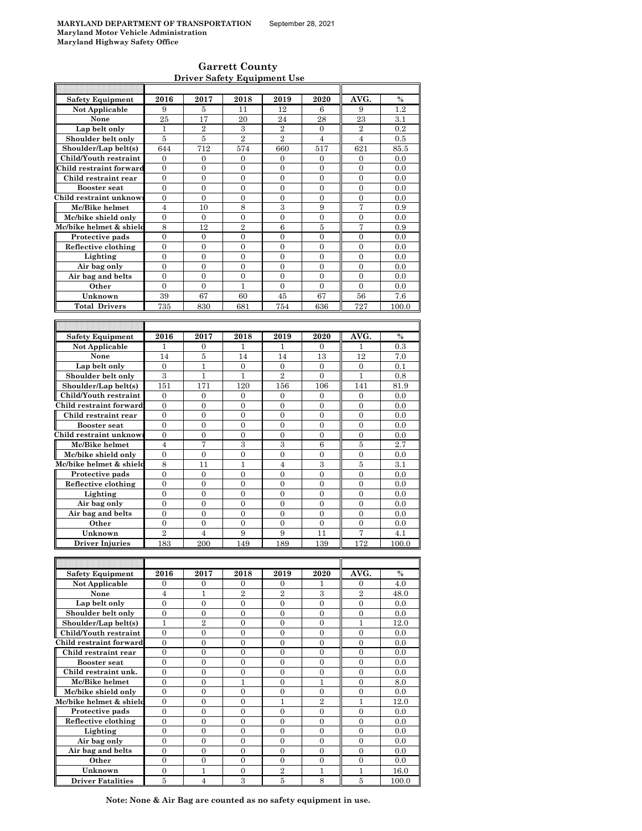h

### **Garrett County Driver Safety Equipment Use**

| <b>Safety Equipment</b>             | 2016             | 2017              | 2018                  | 2019                | 2020              | AVG.             | $\%$          |
|-------------------------------------|------------------|-------------------|-----------------------|---------------------|-------------------|------------------|---------------|
| Not Applicable                      | 9                | 5                 | 11                    | 12                  | 6                 | 9                | 1.2           |
|                                     | 25               |                   | 20                    | 24                  | 28                | 23               |               |
| None                                |                  | 17                |                       |                     |                   |                  | 3.1           |
| Lap belt only                       | 1                | $\overline{2}$    | 3                     | $\overline{2}$      | $\boldsymbol{0}$  | $\overline{2}$   | 0.2           |
| Shoulder belt only                  | 5                | 5                 | $\overline{2}$        | $\overline{2}$      | $\overline{4}$    | $\overline{4}$   | 0.5           |
| Shoulder/Lap belt(s)                | 644              | 712               | 574                   | 660                 | 517               | 621              | 85.5          |
|                                     |                  |                   |                       |                     |                   |                  |               |
| Child/Youth restraint               | $\mathbf{0}$     | 0                 | 0                     | 0                   | 0                 | 0                | 0.0           |
| Child restraint forward             | $\overline{0}$   | $\overline{0}$    | $\overline{0}$        | $\overline{0}$      | $\overline{0}$    | $\overline{0}$   | 0.0           |
| Child restraint rear                | 0                | $\overline{0}$    | $\overline{0}$        | $\overline{0}$      | $\boldsymbol{0}$  | $\boldsymbol{0}$ | 0.0           |
| <b>Booster seat</b>                 | $\overline{0}$   | $\overline{0}$    | $\overline{0}$        | $\overline{0}$      | $\overline{0}$    | $\overline{0}$   | 0.0           |
|                                     |                  |                   |                       |                     |                   |                  |               |
| Child restraint unknow              | $\overline{0}$   | $\overline{0}$    | $\overline{0}$        | $\overline{0}$      | $\overline{0}$    | $\overline{0}$   | 0.0           |
| Mc/Bike helmet                      | 4                | 10                | 8                     | 3                   | 9                 | 7                | 0.9           |
| Mc/bike shield only                 | $\boldsymbol{0}$ | 0                 | $\boldsymbol{0}$      | $\overline{0}$      | $\overline{0}$    | $\boldsymbol{0}$ | 0.0           |
| Mc/bike helmet & shield             | 8                | 12                | $\overline{2}$        | 6                   | 5                 | 7                | 0.9           |
|                                     |                  |                   |                       |                     |                   |                  |               |
| Protective pads                     | $\overline{0}$   | $\mathbf{0}$      | $\overline{0}$        | $\overline{0}$      | $\overline{0}$    | $\overline{0}$   | 0.0           |
| Reflective clothing                 | $\boldsymbol{0}$ | $\boldsymbol{0}$  | $\boldsymbol{0}$      | $\mathbf{0}$        | 0                 | 0                | 0.0           |
| Lighting                            | $\overline{0}$   | $\overline{0}$    | $\overline{0}$        | $\overline{0}$      | $\overline{0}$    | $\overline{0}$   | 0.0           |
| Air bag only                        | $\overline{0}$   | $\overline{0}$    | $\overline{0}$        | $\overline{0}$      | $\overline{0}$    | $\overline{0}$   | 0.0           |
|                                     |                  |                   |                       |                     |                   |                  |               |
| Air bag and belts                   | $\overline{0}$   | $\overline{0}$    | $\overline{0}$        | $\theta$            | $\overline{0}$    | $\overline{0}$   | 0.0           |
| Other                               | $\mathbf{0}$     | $\overline{0}$    | 1                     | $\overline{0}$      | $\overline{0}$    | $\overline{0}$   | 0.0           |
| Unknown                             | 39               | 67                | 60                    | 45                  | 67                | 56               | 7.6           |
|                                     |                  |                   |                       |                     |                   |                  |               |
| <b>Total Drivers</b>                | 735              | 830               | 681                   | 754                 | 636               | 727              | 100.0         |
|                                     |                  |                   |                       |                     |                   |                  |               |
|                                     |                  |                   |                       |                     |                   |                  |               |
| <b>Safety Equipment</b>             |                  | 2017              |                       |                     | 2020              | AVG.             | $\%$          |
|                                     | 2016             |                   | 2018                  | 2019                |                   |                  |               |
| Not Applicable                      | 1                | 0                 | 1                     | 1                   | 0                 | 1                | 0.3           |
| None                                | 14               | 5                 | 14                    | 14                  | 13                | 12               | 7.0           |
| Lap belt only                       | $\boldsymbol{0}$ | $\mathbf{1}$      | $\boldsymbol{0}$      | $\boldsymbol{0}$    | $\boldsymbol{0}$  | 0                | 0.1           |
|                                     | 3                |                   |                       | $\overline{2}$      | $\Omega$          | 1                |               |
| Shoulder belt only                  |                  | 1                 | 1                     |                     |                   |                  | 0.8           |
| Shoulder/Lap belt(s)                | 151              | 171               | 120                   | 156                 | 106               | 141              | 81.9          |
| Child/Youth restraint               | $\overline{0}$   | $\overline{0}$    | $\overline{0}$        | $\overline{0}$      | $\overline{0}$    | $\overline{0}$   | 0.0           |
| Child restraint forward             | $\overline{0}$   | $\overline{0}$    | $\overline{0}$        | $\overline{0}$      | $\overline{0}$    | $\overline{0}$   | 0.0           |
|                                     |                  |                   |                       |                     |                   |                  |               |
| Child restraint rear                | 0                | 0                 | $\boldsymbol{0}$      | $\boldsymbol{0}$    | $\boldsymbol{0}$  | $\boldsymbol{0}$ | 0.0           |
| <b>Booster</b> seat                 | $\overline{0}$   | $\mathbf{0}$      | $\overline{0}$        | $\overline{0}$      | $\overline{0}$    | $\overline{0}$   | 0.0           |
| Child restraint unknow              | 0                | 0                 | $\boldsymbol{0}$      | $\boldsymbol{0}$    | $\boldsymbol{0}$  | $\boldsymbol{0}$ | 0.0           |
| Mc/Bike helmet                      | $\overline{4}$   | 7                 | 3                     | 3                   | $\boldsymbol{6}$  | $\overline{5}$   | 2.7           |
|                                     |                  |                   |                       |                     |                   |                  |               |
| Mc/bike shield only                 | $\boldsymbol{0}$ | $\boldsymbol{0}$  | $\boldsymbol{0}$      | $\boldsymbol{0}$    | 0                 | 0                | 0.0           |
| Mc/bike helmet & shield             | 8                | 11                | 1                     | $\overline{4}$      | 3                 | $\overline{5}$   | 3.1           |
| Protective pads                     | 0                | $\boldsymbol{0}$  | 0                     | 0                   | 0                 | 0                | 0.0           |
|                                     | $\overline{0}$   | $\overline{0}$    | $\overline{0}$        | $\overline{0}$      | $\overline{0}$    | $\overline{0}$   | 0.0           |
| Reflective clothing                 |                  |                   |                       |                     |                   |                  |               |
| Lighting                            | $\overline{0}$   | $\overline{0}$    | $\overline{0}$        | $\overline{0}$      | $\overline{0}$    | $\overline{0}$   | 0.0           |
| Air bag only                        | $\boldsymbol{0}$ | $\mathbf{0}$      | $\overline{0}$        | $\overline{0}$      | $\overline{0}$    | $\boldsymbol{0}$ | 0.0           |
| Air bag and belts                   | 0                | 0                 | $\overline{0}$        | $\overline{0}$      | $\overline{0}$    | $\overline{0}$   | 0.0           |
|                                     |                  |                   |                       |                     |                   |                  |               |
| Other                               | 0                | 0                 | $\boldsymbol{0}$      | $\boldsymbol{0}$    | $\overline{0}$    | $\boldsymbol{0}$ | 0.0           |
| Unknown                             | $\overline{2}$   | $\overline{4}$    | 9                     | 9                   | 11                | 7                | 4.1           |
| <b>Driver Injuries</b>              | 183              | 200               | 149                   | 189                 | 139               | 172              | 100.0         |
|                                     |                  |                   |                       |                     |                   |                  |               |
|                                     |                  |                   |                       |                     |                   |                  |               |
|                                     |                  |                   |                       |                     |                   |                  |               |
| <b>Safety Equipment</b>             | 2016             | 2017              | 2018                  | 2019                | 2020              | AVG.             | $\%$          |
| Not Applicable                      | 0                | 0                 | 0                     | 0                   | 1                 | 0                | 4.0           |
| None                                | $\overline{4}$   |                   | $\overline{2}$        | $\overline{2}$      | 3                 | $\overline{2}$   |               |
|                                     |                  | 1                 |                       |                     |                   |                  | 48.0          |
| Lap belt only                       | $\overline{0}$   | $\overline{0}$    | $\overline{0}$        | $\mathbf{0}$        | $\overline{0}$    | $\overline{0}$   | 0.0           |
| Shoulder belt only                  | $\overline{0}$   | $\overline{0}$    | $\overline{0}$        | $\overline{0}$      | $\overline{0}$    | $\overline{0}$   | 0.0           |
| Shoulder/Lap belt(s)                | 1                | $\overline{2}$    | $\boldsymbol{0}$      | $\boldsymbol{0}$    | 0                 | 1                | 12.0          |
|                                     |                  |                   |                       |                     |                   |                  |               |
| Child/Youth restraint               | $\boldsymbol{0}$ | 0                 | $\boldsymbol{0}$      | $\boldsymbol{0}$    | $\boldsymbol{0}$  | $\boldsymbol{0}$ | 0.0           |
| Child restraint forward             | 0                | 0                 | $\boldsymbol{0}$      | $\boldsymbol{0}$    | 0                 | 0                | 0.0           |
| Child restraint rear                | $\overline{0}$   | $\overline{0}$    | $\overline{0}$        | $\overline{0}$      | $\overline{0}$    | $\overline{0}$   | 0.0           |
| <b>Booster seat</b>                 | $\boldsymbol{0}$ | $\boldsymbol{0}$  | $\boldsymbol{0}$      | $\boldsymbol{0}$    | 0                 | 0                | 0.0           |
|                                     | $\overline{0}$   | $\overline{0}$    |                       |                     |                   |                  |               |
| Child restraint unk.                |                  |                   | $\overline{0}$        | $\overline{0}$      | $\overline{0}$    | $\overline{0}$   | 0.0           |
|                                     |                  |                   |                       |                     |                   |                  | 8.0           |
| Mc/Bike helmet                      | 0                | 0                 | 1                     | 0                   | 1                 | 0                |               |
|                                     |                  | $\overline{0}$    | $\overline{0}$        | $\overline{0}$      | $\overline{0}$    | $\overline{0}$   |               |
| Mc/bike shield only                 | $\boldsymbol{0}$ |                   |                       |                     |                   |                  | 0.0           |
| Mc/bike helmet & shield             | 0                | 0                 | $\boldsymbol{0}$      | $\mathbf{1}$        | $\overline{2}$    | 1                | 12.0          |
| Protective pads                     | 0                | 0                 | $\boldsymbol{0}$      | $\boldsymbol{0}$    | $\boldsymbol{0}$  | $\boldsymbol{0}$ | 0.0           |
|                                     | $\boldsymbol{0}$ | $\boldsymbol{0}$  | $\boldsymbol{0}$      | $\boldsymbol{0}$    | $\boldsymbol{0}$  | $\boldsymbol{0}$ | 0.0           |
| Reflective clothing                 |                  |                   |                       |                     |                   |                  |               |
| Lighting                            | $\boldsymbol{0}$ | 0                 | $\boldsymbol{0}$      | $\boldsymbol{0}$    | $\boldsymbol{0}$  | $\boldsymbol{0}$ | 0.0           |
| Air bag only                        | $\mathbf{0}$     | $\overline{0}$    | $\overline{0}$        | $\overline{0}$      | $\overline{0}$    | $\overline{0}$   | 0.0           |
| Air bag and belts                   | 0                | $\overline{0}$    | $\overline{0}$        | $\overline{0}$      | $\boldsymbol{0}$  | $\boldsymbol{0}$ | 0.0           |
| Other                               | $\boldsymbol{0}$ | $\overline{0}$    | $\overline{0}$        | $\overline{0}$      | $\overline{0}$    | $\overline{0}$   | 0.0           |
|                                     |                  |                   |                       |                     |                   |                  |               |
| Unknown<br><b>Driver Fatalities</b> | 0<br>5           | $\mathbf{1}$<br>4 | $\boldsymbol{0}$<br>3 | $\overline{2}$<br>5 | $\mathbf{1}$<br>8 | 1<br>5           | 16.0<br>100.0 |

**Note: None & Air Bag are counted as no safety equipment in use.**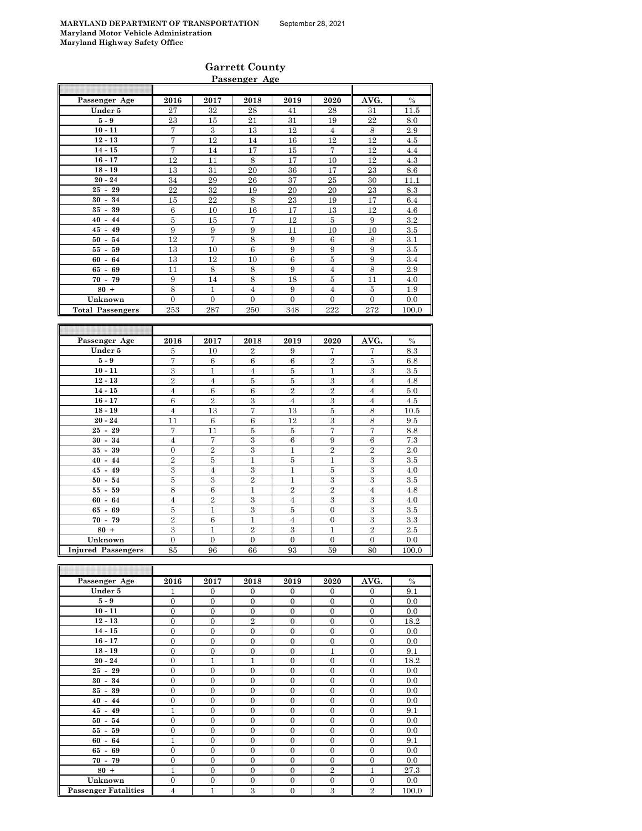| <b>Garrett County</b> |  |
|-----------------------|--|
| Passenger Age         |  |

| Passenger Age                        | 2016                   | 2017           | 2018             | 2019                   | 2020                          | AVG.           | $\%$         |
|--------------------------------------|------------------------|----------------|------------------|------------------------|-------------------------------|----------------|--------------|
| Under 5                              | 27                     | 32             | 28               | 41                     | 28                            | 31             | 11.5         |
| $5-9$                                | 23                     | 15             | 21               | 31                     | 19                            | 22             | 8.0          |
| $10 - 11$                            | 7                      | 3              | 13               | 12                     | $\overline{4}$                | 8              | 2.9          |
| $12 - 13$                            | 7                      | 12             | 14               | 16                     | 12                            | 12             | 4.5          |
| $14 - 15$                            | 7                      | 14             | 17               | 15                     | 7                             | 12             | 4.4          |
| $16 - 17$                            | 12                     | 11             | 8                | 17                     | 10                            | 12             | 4.3          |
| $18 - 19$                            | 13                     | 31             | 20               | 36                     | 17                            | 23             | 8.6          |
| $20 - 24$                            | 34                     | 29             | 26               | 37                     | 25                            | 30             | 11.1         |
| $25 - 29$                            | 22                     | 32             | 19               | 20                     | 20                            | 23             | 8.3          |
| $30 - 34$                            | 15                     | 22             | 8                | 23                     | 19                            | 17             | 6.4          |
| $35 - 39$                            | $\,6\,$                | 10             | 16               | 17                     | 13                            | 12             | 4.6          |
| $40 - 44$                            | 5                      | 15             | 7                | 12                     | 5                             | 9              | 3.2          |
| $45 - 49$                            | 9                      | 9              | 9                | 11                     | 10                            | 10             | 3.5          |
| $50 - 54$                            | 12                     | 7              | 8                | 9                      | $\,6$                         | $\,$ 8 $\,$    | 3.1          |
| $55 - 59$                            | 13                     | 10             | 6                | 9                      | 9                             | 9              | 3.5          |
| $60 - 64$                            | 13                     | 12             | 10               | 6                      | $\bf 5$                       | 9              | 3.4          |
| $65 - 69$                            | 11                     | 8              | $\,8\,$          | 9                      | $\overline{4}$                | $\,$ 8 $\,$    | 2.9          |
| $70 - 79$                            | 9                      | 14             | $\overline{8}$   | 18                     | $\bf 5$                       | 11             | 4.0          |
| $80 +$                               | 8                      | 1              | $\overline{4}$   | 9                      | $\overline{4}$                | 5              | 1.9          |
| Unknown                              | $\overline{0}$         | $\overline{0}$ | $\overline{0}$   | $\overline{0}$         | $\overline{0}$                | $\overline{0}$ | 0.0          |
| <b>Total Passengers</b>              | 253                    | 287            | 250              | 348                    | 222                           | 272            | 100.0        |
|                                      |                        |                |                  |                        |                               |                |              |
|                                      |                        |                |                  |                        |                               |                |              |
|                                      |                        |                |                  |                        |                               |                |              |
| Passenger Age                        | 2016                   | 2017           | 2018             | 2019                   | 2020                          | AVG.           | $\%$         |
| Under 5                              | 5                      | 10             | $\overline{2}$   | 9                      | 7                             | 7              | 8.3          |
| $5-9$                                | 7                      | $\,6\,$        | $\,6\,$          | $\,6$                  | $\overline{2}$                | 5              | 6.8          |
| $10 - 11$                            | 3                      | 1              | $\overline{4}$   | 5                      | 1                             | 3              | 3.5          |
| $12 - 13$                            | $\overline{2}$         | $\overline{4}$ | $\overline{5}$   | $\overline{5}$         | $\overline{3}$                | $\overline{4}$ | 4.8          |
| $14 - 15$                            | $\overline{4}$         | 6              | $\boldsymbol{6}$ | $\overline{2}$         | $\overline{2}$                | $\overline{4}$ | 5.0          |
| $16 - 17$                            | 6                      | $\overline{2}$ | 3                | $\overline{4}$         | 3                             | $\overline{4}$ | 4.5          |
| $18 - 19$                            | $\overline{4}$         | 13             | 7                | 13                     | $\bf 5$                       | 8              | 10.5         |
| $20 - 24$                            | 11                     | 6              | $\,6$            | 12                     | 3                             | 8              | 9.5          |
| $25 - 29$                            | 7                      | 11             | $\bf 5$          | $\bf 5$                | $\overline{7}$                | $\overline{7}$ | 8.8          |
| $30 - 34$                            | $\overline{4}$         | 7              | $\boldsymbol{3}$ | $\,6$                  | 9                             | 6              | 7.3          |
| $35 - 39$                            | $\overline{0}$         | $\overline{2}$ | $\overline{3}$   | $\mathbf{1}$           | $\overline{2}$                | $\overline{2}$ | 2.0          |
| $40 - 44$                            | $\overline{2}$         | $\bf 5$        | $\mathbf{1}$     | $\bf 5$                | $\mathbf{1}$                  | $\,3\,$        | 3.5          |
| $45 - 49$                            | 3                      | $\overline{4}$ | 3                | $\mathbf{1}$           | 5                             | 3              | 4.0          |
| $50 - 54$                            | $\bf 5$                | $\,3$          | $\overline{2}$   | $\mathbf{1}$           | 3                             | 3              | 3.5          |
| $55 - 59$                            | 8                      | 6              | 1                | $\,2$                  | $\overline{2}$                | $\overline{4}$ | 4.8          |
| $60 - 64$                            | $\overline{4}$         | $\overline{2}$ | 3                | $\overline{4}$         | 3                             | $\,3$          | 4.0          |
| $65 - 69$                            | $\bf 5$                | $\mathbf{1}$   | $\,3$            | $\bf 5$                | $\overline{0}$                | $\,3$          | $3.5\,$      |
| $70 - 79$                            | $\overline{2}$         | 6              | $\mathbf 1$      | $\overline{4}$         | $\boldsymbol{0}$              | 3              | 3.3          |
| $80 +$                               | 3                      | $\mathbf{1}$   | $\overline{2}$   | 3                      | $\mathbf{1}$                  | $\overline{2}$ | 2.5          |
| Unknown<br><b>Injured Passengers</b> | $\boldsymbol{0}$<br>85 | 0<br>96        | 0<br>66          | $\boldsymbol{0}$<br>93 | $\boldsymbol{0}$<br>$\bf{59}$ | 0<br>80        | 0.0<br>100.0 |

| Passenger Age               | 2016           | 2017           | 2018           | 2019           | 2020           | AVG.           | $\%$  |
|-----------------------------|----------------|----------------|----------------|----------------|----------------|----------------|-------|
| Under 5                     | 1              | $\mathbf{0}$   | $\overline{0}$ | $\mathbf{0}$   | $\mathbf{0}$   | $\mathbf{0}$   | 9.1   |
| $5-9$                       | $\overline{0}$ | $\mathbf{0}$   | $\overline{0}$ | $\mathbf{0}$   | $\mathbf{0}$   | $\mathbf{0}$   | 0.0   |
| $10 - 11$                   | $\overline{0}$ | $\theta$       | $\Omega$       | $\theta$       | $\theta$       | $\theta$       | 0.0   |
| $12 - 13$                   | $\mathbf{0}$   | $\mathbf{0}$   | $\overline{2}$ | $\mathbf{0}$   | $\overline{0}$ | $\mathbf{0}$   | 18.2  |
| $14 - 15$                   | $\overline{0}$ | $\overline{0}$ | $\mathbf{0}$   | $\overline{0}$ | $\overline{0}$ | $\overline{0}$ | 0.0   |
| $16 - 17$                   | $\Omega$       | $\Omega$       | $\Omega$       | $\Omega$       | $\Omega$       | $\Omega$       | 0.0   |
| $18 - 19$                   | $\overline{0}$ | $\Omega$       | $\Omega$       | $\Omega$       | 1              | $\mathbf{0}$   | 9.1   |
| $20 - 24$                   | $\mathbf{0}$   | $\mathbf{1}$   | 1              | $\mathbf{0}$   | $\mathbf{0}$   | $\mathbf{0}$   | 18.2  |
| $25 - 29$                   | $\overline{0}$ | $\overline{0}$ | $\mathbf{0}$   | $\overline{0}$ | $\overline{0}$ | $\overline{0}$ | 0.0   |
| $30 - 34$                   | $\overline{0}$ | $\Omega$       | $\Omega$       | $\Omega$       | $\Omega$       | $\Omega$       | 0.0   |
| $35 - 39$                   | $\mathbf{0}$   | $\Omega$       | $\Omega$       | $\Omega$       | $\Omega$       | $\mathbf{0}$   | 0.0   |
| $40 - 44$                   | $\overline{0}$ | $\overline{0}$ | $\Omega$       | $\theta$       | $\overline{0}$ | $\mathbf{0}$   | 0.0   |
| $45 - 49$                   | 1              | $\Omega$       | $\Omega$       | $\Omega$       | $\Omega$       | $\mathbf{0}$   | 9.1   |
| $50 - 54$                   | $\Omega$       | $\Omega$       | $\Omega$       | $\Omega$       | $\Omega$       | $\Omega$       | 0.0   |
| $55 - 59$                   | $\overline{0}$ | $\overline{0}$ | $\mathbf{0}$   | $\mathbf{0}$   | $\overline{0}$ | $\mathbf{0}$   | 0.0   |
| $60 - 64$                   | 1              | $\Omega$       | $\Omega$       | $\theta$       | $\Omega$       | $\theta$       | 9.1   |
| $65 - 69$                   | $\overline{0}$ | $\mathbf{0}$   | $\Omega$       | $\mathbf{0}$   | $\mathbf{0}$   | $\mathbf{0}$   | 0.0   |
| $70 - 79$                   | $\overline{0}$ | $\mathbf{0}$   | $\mathbf{0}$   | $\mathbf{0}$   | $\Omega$       | $\mathbf{0}$   | 0.0   |
| $80 +$                      | 1              | $\overline{0}$ | $\mathbf{0}$   | $\mathbf{0}$   | $\overline{2}$ | 1              | 27.3  |
| Unknown                     | $\Omega$       | $\Omega$       | $\Omega$       | $\Omega$       | $\Omega$       | $\mathbf{0}$   | 0.0   |
| <b>Passenger Fatalities</b> | 4              | 1              | 3              | $\mathbf{0}$   | 3              | $\overline{2}$ | 100.0 |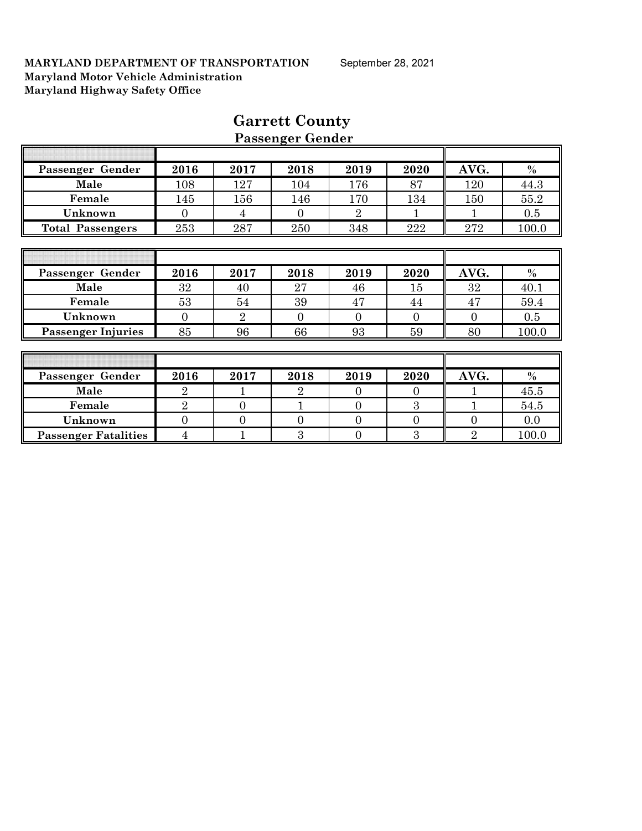|                             |                |                | I geschied neuner |                |                |                |       |
|-----------------------------|----------------|----------------|-------------------|----------------|----------------|----------------|-------|
|                             |                |                |                   |                |                |                |       |
| Passenger Gender            | 2016           | 2017           | 2018              | 2019           | 2020           | AVG.           | $\%$  |
| Male                        | 108            | 127            | 104               | 176            | 87             | 120            | 44.3  |
| Female                      | 145            | 156            | 146               | 170            | 134            | 150            | 55.2  |
| Unknown                     | $\overline{0}$ | 4              | $\overline{0}$    | $\overline{2}$ | 1              |                | 0.5   |
| <b>Total Passengers</b>     | 253            | 287            | 250               | 348            | 222            | 272            | 100.0 |
|                             |                |                |                   |                |                |                |       |
|                             |                |                |                   |                |                |                |       |
| Passenger Gender            | 2016           | 2017           | 2018              | 2019           | 2020           | AVG.           | $\%$  |
| Male                        | 32             | 40             | 27                | 46             | 15             | 32             | 40.1  |
| Female                      | 53             | 54             | 39                | 47             | 44             | 47             | 59.4  |
| Unknown                     | $\theta$       | $\overline{2}$ | $\overline{0}$    | $\theta$       | $\overline{0}$ | $\Omega$       | 0.5   |
| <b>Passenger Injuries</b>   | 85             | 96             | 66                | 93             | 59             | 80             | 100.0 |
|                             |                |                |                   |                |                |                |       |
|                             |                |                |                   |                |                |                |       |
| Passenger Gender            | 2016           | 2017           | 2018              | 2019           | 2020           | AVG.           | $\%$  |
| Male                        | $\overline{2}$ |                | $\overline{2}$    | $\overline{0}$ | $\overline{0}$ |                | 45.5  |
| Female                      | $\overline{2}$ | $\overline{0}$ |                   | $\theta$       | 3              |                | 54.5  |
| Unknown                     | $\overline{0}$ | $\overline{0}$ | $\overline{0}$    | $\overline{0}$ | $\overline{0}$ | $\theta$       | 0.0   |
| <b>Passenger Fatalities</b> | $\overline{4}$ |                | 3                 | $\theta$       | 3              | $\overline{2}$ | 100.0 |

# **Garrett County Passenger Gender**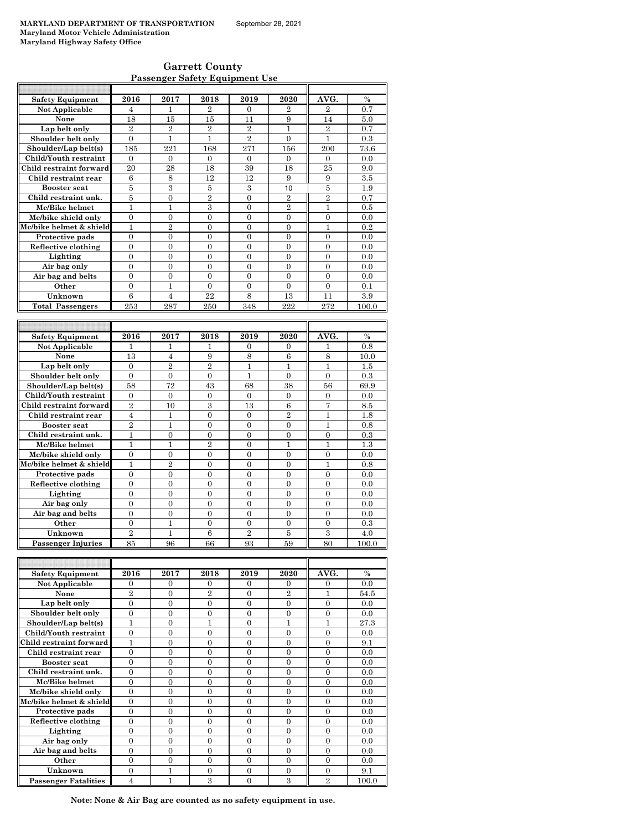| <b>Garrett County</b>                 |  |
|---------------------------------------|--|
| <b>Passenger Safety Equipment Use</b> |  |

| <b>Safety Equipment</b> | 2016           | 2017           | 2018           | 2019           | 2020           | AVG.           | $\frac{0}{0}$ |
|-------------------------|----------------|----------------|----------------|----------------|----------------|----------------|---------------|
| Not Applicable          | 4              | 1              | $\overline{2}$ | $\Omega$       | $\overline{2}$ | $\overline{2}$ | 0.7           |
| None                    | 18             | 15             | 15             | 11             | 9              | 14             | 5.0           |
| Lap belt only           | $\overline{2}$ | $\overline{2}$ | $\overline{2}$ | $\overline{2}$ | 1              | $\overline{2}$ | 0.7           |
| Shoulder belt only      | $\Omega$       | $\mathbf{1}$   | $\mathbf{1}$   | $\overline{2}$ | $\Omega$       | $\mathbf{1}$   | 0.3           |
| Shoulder/Lap belt(s)    | 185            | 221            | 168            | 271            | 156            | 200            | 73.6          |
| Child/Youth restraint   | $\overline{0}$ | $\mathbf{0}$   | $\mathbf{0}$   | $\Omega$       | $\Omega$       | $\Omega$       | 0.0           |
| Child restraint forward | 20             | 28             | 18             | 39             | 18             | 25             | 9.0           |
| Child restraint rear    | 6              | 8              | 12             | 12             | 9              | 9              | 3.5           |
| <b>Booster seat</b>     | $\overline{5}$ | 3              | $\overline{5}$ | 3              | 10             | $\overline{5}$ | 1.9           |
| Child restraint unk.    | 5              | $\overline{0}$ | $\overline{2}$ | $\theta$       | $\overline{2}$ | $\overline{2}$ | 0.7           |
| Mc/Bike helmet          | $\mathbf{1}$   | $\mathbf{1}$   | 3              | $\overline{0}$ | $\overline{2}$ | 1              | 0.5           |
| Mc/bike shield only     | 0              | $\mathbf{0}$   | $\overline{0}$ | $\overline{0}$ | $\mathbf{0}$   | $\mathbf{0}$   | 0.0           |
| Mc/bike helmet & shield | 1              | $\overline{2}$ | $\Omega$       | $\theta$       | $\Omega$       | 1              | 0.2           |
| Protective pads         | $\theta$       | $\theta$       | $\theta$       | $\theta$       | $\Omega$       | $\Omega$       | 0.0           |
| Reflective clothing     | $\theta$       | $\Omega$       | $\Omega$       | $\Omega$       | $\Omega$       | $\Omega$       | 0.0           |
| Lighting                | $\theta$       | $\Omega$       | $\Omega$       | $\theta$       | $\Omega$       | $\theta$       | 0.0           |
| Air bag only            | 0              | $\Omega$       | $\Omega$       | $\Omega$       | $\Omega$       | $\Omega$       | 0.0           |
| Air bag and belts       | 0              | $\Omega$       | $\Omega$       | $\Omega$       | $\Omega$       | $\Omega$       | 0.0           |
| Other                   | $\theta$       | 1              | $\theta$       | $\theta$       | $\Omega$       | $\Omega$       | 0.1           |
| Unknown                 | 6              | $\overline{4}$ | 22             | 8              | 13             | 11             | 3.9           |
| <b>Total Passengers</b> | 253            | 287            | 250            | 348            | 222            | 272            | 100.0         |
|                         |                |                |                |                |                |                |               |
|                         |                |                |                |                |                |                |               |
| <b>Safety Equipment</b> | 2016           | 2017           | 2018           | 2019           | 2020           | AVG.           | $\frac{0}{0}$ |
| Not Applicable          | 1              | 1              | 1              | 0              | $\mathbf{0}$   | 1              | 0.8           |
| None                    | 13             | $\overline{4}$ | 9              | 8              | 6              | 8              | 10.0          |
| Lap belt only           | $\theta$       | $\overline{2}$ | $\overline{2}$ | 1              | 1              | $\mathbf{1}$   | 1.5           |
| Shoulder belt only      | $\theta$       | $\overline{0}$ | $\overline{0}$ | $\mathbf{1}$   | $\theta$       | $\theta$       | 0.3           |
| Shoulder/Lap belt(s)    | 58             | 72             | 43             | 68             | 38             | 56             | 69.9          |
| Child/Youth restraint   | 0              | $\Omega$       | $\mathbf{0}$   | $\Omega$       | $\Omega$       | $\mathbf{0}$   | 0.0           |
| Child restraint forward | $\overline{2}$ | 10             | 3              | 13             | 6              | $\overline{7}$ | 8.5           |
| Child restraint rear    | $\overline{4}$ | $\mathbf{1}$   | $\overline{0}$ | $\theta$       | $\overline{2}$ | $\overline{1}$ | 1.8           |
| <b>Booster seat</b>     | $\overline{2}$ | $\mathbf{1}$   | $\overline{0}$ | $\theta$       | $\theta$       | $\mathbf{1}$   | 0.8           |
| Child restraint unk.    | 1              | $\overline{0}$ | $\overline{0}$ | $\theta$       | $\Omega$       | $\overline{0}$ | 0.3           |
| Mc/Bike helmet          | 1              | $\mathbf{1}$   | $\overline{2}$ | $\theta$       | 1              | 1              | 1.3           |
| Mc/bike shield only     | $\overline{0}$ | $\overline{0}$ | $\overline{0}$ | $\theta$       | $\Omega$       | $\overline{0}$ | 0.0           |
| Mc/bike helmet & shield | 1              | $\overline{2}$ | $\Omega$       | $\theta$       | $\Omega$       | 1              | 0.8           |
| Protective pads         | 0              | $\theta$       | 0              | $\Omega$       | $\Omega$       | $\Omega$       | 0.0           |
| Reflective clothing     | $\theta$       | $\theta$       | $\theta$       | $\theta$       | $\Omega$       | $\Omega$       | 0.0           |

**Lighting** 0 0 0 0 0 0 0.0 **Air bag only** 0 0 0 0 0 0 0.0 Air bag and belts **Other**  $\begin{array}{|c|c|c|c|c|c|} \hline 0 & 1 & 0 & 0 & 0 & 0 & 0.3 \ \hline \end{array}$ **Unknown** 2 1 6 2 5 3 4.0<br> **Senger Injuries** 85 96 66 93 59 80 100.0 **Passenger Injuries** Г  $\overline{\mathsf{T}}$ 

| <b>Safety Equipment</b>     | 2016           | 2017     | 2018           | 2019           | 2020           | AVG.           | $\frac{0}{0}$ |
|-----------------------------|----------------|----------|----------------|----------------|----------------|----------------|---------------|
| Not Applicable              | $\Omega$       | $\Omega$ | $\Omega$       | $\Omega$       | $\Omega$       | 0              | 0.0           |
| None                        | $\overline{2}$ | $\Omega$ | $\overline{2}$ | $\theta$       | $\overline{2}$ |                | 54.5          |
| Lap belt only               | $\Omega$       | $\Omega$ | $\Omega$       | $\Omega$       | $\Omega$       | $\theta$       | 0.0           |
| Shoulder belt only          | $\Omega$       | $\Omega$ | $\Omega$       | $\Omega$       | $\Omega$       | $\Omega$       | 0.0           |
| Shoulder/Lap belt(s)        | 1              | $\Omega$ |                | $\Omega$       |                |                | 27.3          |
| Child/Youth restraint       | $\theta$       | $\Omega$ | $\Omega$       | $\Omega$       | $\Omega$       | $\Omega$       | 0.0           |
| Child restraint forward     | 1              | 0        | $\Omega$       | $\Omega$       | $\Omega$       | 0              | 9.1           |
| Child restraint rear        | $\theta$       | $\Omega$ | $\Omega$       | $\Omega$       | $\Omega$       | $\Omega$       | 0.0           |
| <b>Booster seat</b>         | $\Omega$       | $\Omega$ | $\Omega$       | $\Omega$       | $\Omega$       | $\Omega$       | 0.0           |
| Child restraint unk.        | $\theta$       | $\Omega$ | $\Omega$       | $\overline{0}$ | $\theta$       | $\theta$       | 0.0           |
| Mc/Bike helmet              | $\Omega$       | $\Omega$ | $\Omega$       | $\Omega$       | $\Omega$       | $\Omega$       | 0.0           |
| Mc/bike shield only         | $\theta$       | $\Omega$ | $\Omega$       | $\Omega$       | $\Omega$       | $\theta$       | 0.0           |
| Mc/bike helmet & shield     | $\theta$       | $\Omega$ | $\Omega$       | $\Omega$       | $\Omega$       | $\Omega$       | 0.0           |
| Protective pads             | $\Omega$       | $\Omega$ | $\Omega$       | $\Omega$       | $\Omega$       | $\Omega$       | 0.0           |
| Reflective clothing         | $\Omega$       | $\Omega$ | $\Omega$       | $\Omega$       | $\Omega$       | $\Omega$       | 0.0           |
| Lighting                    | $\Omega$       | $\Omega$ | $\Omega$       | $\Omega$       | $\Omega$       | $\Omega$       | 0.0           |
| Air bag only                | $\overline{0}$ | $\Omega$ | $\Omega$       | $\Omega$       | $\Omega$       | $\Omega$       | 0.0           |
| Air bag and belts           | $\Omega$       | $\Omega$ | $\Omega$       | $\Omega$       | $\Omega$       | $\Omega$       | 0.0           |
| Other                       | $\Omega$       | $\Omega$ | $\Omega$       | $\Omega$       | $\Omega$       | $\theta$       | 0.0           |
| Unknown                     | $\Omega$       | 1        | $\Omega$       | $\Omega$       | $\Omega$       | $\Omega$       | 9.1           |
| <b>Passenger Fatalities</b> | 4              |          | 3              | 0              | 3              | $\overline{2}$ | 100.0         |

**Note: None & Air Bag are counted as no safety equipment in use.**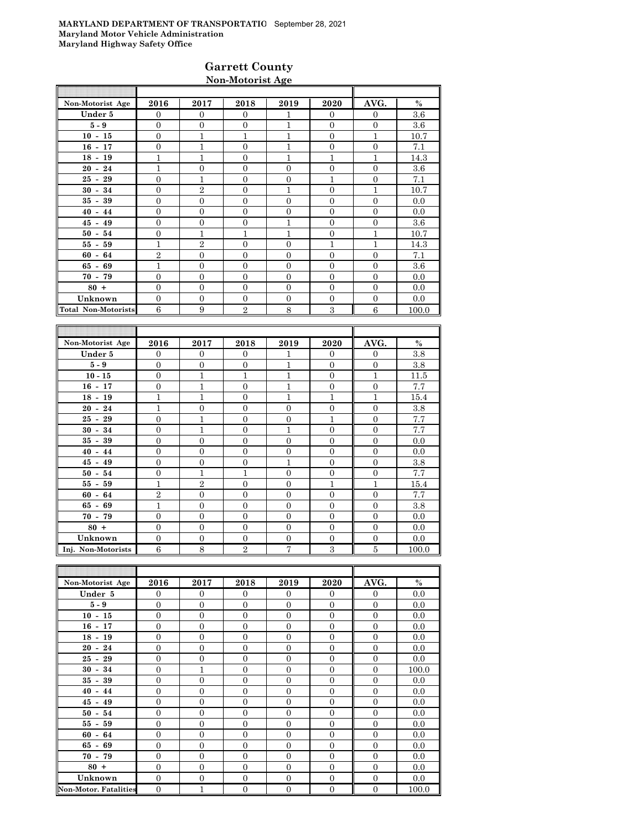### **Garrett County Non-Motorist Age**

| Non-Motorist Age           | 2016           | 2017           | 2018           | 2019           | 2020             | AVG.           | $\%$  |
|----------------------------|----------------|----------------|----------------|----------------|------------------|----------------|-------|
| Under 5                    | $\Omega$       | $\mathbf{0}$   | $\Omega$       | 1              | $\mathbf{0}$     | $\Omega$       | 3.6   |
| $5-9$                      | $\overline{0}$ | $\mathbf{0}$   | $\Omega$       | 1              | $\mathbf{0}$     | $\Omega$       | 3.6   |
| $10 - 15$                  | $\overline{0}$ | $\mathbf{1}$   | 1              | 1              | $\mathbf{0}$     | 1              | 10.7  |
| $16 - 17$                  | $\overline{0}$ | $\mathbf{1}$   | $\Omega$       | 1              | $\overline{0}$   | $\overline{0}$ | 7.1   |
| $18 - 19$                  | $\mathbf{1}$   | 1              | $\overline{0}$ | 1              | $\overline{1}$   | 1              | 14.3  |
| $20 - 24$                  | $\mathbf{1}$   | $\overline{0}$ | $\Omega$       | $\Omega$       | $\overline{0}$   | $\Omega$       | 3.6   |
| $25 - 29$                  | $\overline{0}$ | $\mathbf{1}$   | $\Omega$       | $\Omega$       | $\overline{1}$   | $\Omega$       | 7.1   |
| $30 - 34$                  | $\overline{0}$ | $\overline{2}$ | $\mathbf{0}$   | 1              | $\mathbf{0}$     | 1              | 10.7  |
| $35 - 39$                  | $\overline{0}$ | $\mathbf{0}$   | $\Omega$       | $\overline{0}$ | $\mathbf{0}$     | $\overline{0}$ | 0.0   |
| $40 - 44$                  | $\overline{0}$ | $\overline{0}$ | $\Omega$       | $\overline{0}$ | $\overline{0}$   | $\overline{0}$ | 0.0   |
| $45 - 49$                  | $\overline{0}$ | $\mathbf{0}$   | $\overline{0}$ | 1              | $\mathbf{0}$     | $\Omega$       | 3.6   |
| $50 - 54$                  | $\overline{0}$ | $\mathbf{1}$   | 1              | 1              | $\mathbf{0}$     | 1              | 10.7  |
| $55 - 59$                  | $\mathbf{1}$   | $\overline{2}$ | $\Omega$       | $\mathbf{0}$   | $\overline{1}$   | 1              | 14.3  |
| $60 - 64$                  | $\overline{2}$ | $\mathbf{0}$   | $\overline{0}$ | $\overline{0}$ | $\mathbf{0}$     | $\overline{0}$ | 7.1   |
| $65 - 69$                  | $\mathbf{1}$   | $\mathbf{0}$   | $\Omega$       | $\Omega$       | $\boldsymbol{0}$ | $\Omega$       | 3.6   |
| $70 - 79$                  | $\Omega$       | $\Omega$       | $\Omega$       | $\Omega$       | $\overline{0}$   | $\theta$       | 0.0   |
| $80 +$                     | $\mathbf{0}$   | $\Omega$       | $\Omega$       | $\Omega$       | $\mathbf{0}$     | $\Omega$       | 0.0   |
| Unknown                    | $\Omega$       | $\mathbf{0}$   | $\overline{0}$ | $\overline{0}$ | $\mathbf{0}$     | $\theta$       | 0.0   |
| <b>Total Non-Motorists</b> | 6              | 9              | $\overline{2}$ | 8              | 3                | 6              | 100.0 |

| Non-Motorist Age   | 2016           | 2017           | 2018           | 2019           | 2020           | AVG.           | $\%$  |
|--------------------|----------------|----------------|----------------|----------------|----------------|----------------|-------|
| Under 5            | $\Omega$       | $\Omega$       | $\Omega$       | 1              | $\Omega$       | $\overline{0}$ | 3.8   |
| $5-9$              | $\Omega$       | $\theta$       | $\overline{0}$ | $\mathbf{1}$   | $\Omega$       | $\mathbf{0}$   | 3.8   |
| $10 - 15$          | $\overline{0}$ | $\mathbf{1}$   | $\mathbf{1}$   | $\mathbf{1}$   | $\theta$       | 1              | 11.5  |
| $16 - 17$          | $\Omega$       | $\overline{1}$ | $\overline{0}$ | $\mathbf{1}$   | $\overline{0}$ | $\overline{0}$ | 7.7   |
| $18 - 19$          | $\mathbf{1}$   | $\mathbf{1}$   | $\overline{0}$ | $\mathbf{1}$   | 1              | 1              | 15.4  |
| $20 - 24$          | $\overline{1}$ | $\overline{0}$ | $\theta$       | $\theta$       | $\theta$       | $\overline{0}$ | 3.8   |
| $25 - 29$          | $\Omega$       | $\mathbf{1}$   | $\overline{0}$ | $\overline{0}$ | 1              | $\overline{0}$ | 7.7   |
| $30 - 34$          | $\Omega$       | $\mathbf{1}$   | $\overline{0}$ | 1              | $\overline{0}$ | $\overline{0}$ | 7.7   |
| $35 -$<br>39       | $\Omega$       | $\overline{0}$ | $\overline{0}$ | $\theta$       | $\overline{0}$ | $\overline{0}$ | 0.0   |
| $40 - 44$          | $\Omega$       | $\overline{0}$ | $\overline{0}$ | $\overline{0}$ | $\overline{0}$ | $\overline{0}$ | 0.0   |
| $45 - 49$          | $\theta$       | $\overline{0}$ | $\overline{0}$ | $\mathbf{1}$   | $\overline{0}$ | $\overline{0}$ | 3.8   |
| $50 - 54$          | $\overline{0}$ | $\mathbf{1}$   | $\mathbf{1}$   | $\Omega$       | $\overline{0}$ | $\overline{0}$ | 7.7   |
| $55 - 59$          | $\mathbf{1}$   | $\overline{2}$ | $\overline{0}$ | $\overline{0}$ | 1              | 1              | 15.4  |
| $60 - 64$          | $\overline{2}$ | $\overline{0}$ | $\overline{0}$ | $\overline{0}$ | $\overline{0}$ | $\overline{0}$ | 7.7   |
| $65 - 69$          | $\mathbf{1}$   | $\overline{0}$ | $\overline{0}$ | $\theta$       | $\overline{0}$ | $\overline{0}$ | 3.8   |
| $70 - 79$          | $\Omega$       | $\overline{0}$ | $\overline{0}$ | $\theta$       | $\overline{0}$ | $\mathbf{0}$   | 0.0   |
| $80 +$             | $\overline{0}$ | $\overline{0}$ | $\overline{0}$ | $\overline{0}$ | $\overline{0}$ | $\overline{0}$ | 0.0   |
| Unknown            | $\Omega$       | $\overline{0}$ | $\overline{0}$ | $\overline{0}$ | $\overline{0}$ | $\mathbf{0}$   | 0.0   |
| Inj. Non-Motorists | 6              | 8              | $\overline{2}$ | 7              | 3              | 5              | 100.0 |

| Non-Motorist Age             | 2016           | 2017           | 2018           | 2019             | 2020             | AVG.           | $\%$  |
|------------------------------|----------------|----------------|----------------|------------------|------------------|----------------|-------|
| Under 5                      | $\Omega$       | $\Omega$       | $\Omega$       | $\Omega$         | $\overline{0}$   | $\Omega$       | 0.0   |
| $5-9$                        | $\overline{0}$ | $\overline{0}$ | $\mathbf{0}$   | $\mathbf{0}$     | $\mathbf{0}$     | $\mathbf{0}$   | 0.0   |
| $10 - 15$                    | $\overline{0}$ | $\mathbf{0}$   | $\overline{0}$ | $\overline{0}$   | $\mathbf{0}$     | $\mathbf{0}$   | 0.0   |
| $16 - 17$                    | $\overline{0}$ | $\mathbf{0}$   | $\overline{0}$ | $\mathbf{0}$     | $\mathbf{0}$     | $\mathbf{0}$   | 0.0   |
| $18 - 19$                    | $\overline{0}$ | $\overline{0}$ | $\Omega$       | $\Omega$         | $\mathbf{0}$     | $\mathbf{0}$   | 0.0   |
| $20 - 24$                    | $\Omega$       | $\overline{0}$ | $\Omega$       | $\Omega$         | $\mathbf{0}$     | $\Omega$       | 0.0   |
| $25 - 29$                    | $\overline{0}$ | $\overline{0}$ | $\overline{0}$ | $\overline{0}$   | $\mathbf{0}$     | $\mathbf{0}$   | 0.0   |
| $30 - 34$                    | $\overline{0}$ | $\mathbf{1}$   | $\overline{0}$ | $\overline{0}$   | $\mathbf{0}$     | $\mathbf{0}$   | 100.0 |
| $35 - 39$                    | $\overline{0}$ | $\mathbf{0}$   | $\overline{0}$ | $\overline{0}$   | $\mathbf{0}$     | $\mathbf{0}$   | 0.0   |
| $40 - 44$                    | $\overline{0}$ | $\overline{0}$ | $\overline{0}$ | $\overline{0}$   | $\overline{0}$   | $\overline{0}$ | 0.0   |
| $45 - 49$                    | $\theta$       | $\Omega$       | $\Omega$       | $\Omega$         | $\overline{0}$   | $\Omega$       | 0.0   |
| $50 - 54$                    | $\overline{0}$ | $\overline{0}$ | $\overline{0}$ | $\overline{0}$   | $\mathbf{0}$     | $\overline{0}$ | 0.0   |
| $55 - 59$                    | $\overline{0}$ | $\overline{0}$ | $\overline{0}$ | $\overline{0}$   | $\overline{0}$   | $\overline{0}$ | 0.0   |
| $60 - 64$                    | $\overline{0}$ | $\mathbf{0}$   | $\overline{0}$ | $\overline{0}$   | $\mathbf{0}$     | $\mathbf{0}$   | 0.0   |
| $65 - 69$                    | $\overline{0}$ | $\overline{0}$ | $\overline{0}$ | $\overline{0}$   | $\overline{0}$   | $\overline{0}$ | 0.0   |
| $70 - 79$                    | $\Omega$       | $\mathbf{0}$   | $\Omega$       | $\Omega$         | $\overline{0}$   | $\Omega$       | 0.0   |
| $80 +$                       | $\overline{0}$ | $\overline{0}$ | $\Omega$       | $\Omega$         | $\mathbf{0}$     | $\Omega$       | 0.0   |
| Unknown                      | $\overline{0}$ | $\overline{0}$ | $\overline{0}$ | $\overline{0}$   | $\boldsymbol{0}$ | $\overline{0}$ | 0.0   |
| <b>Non-Motor. Fatalities</b> | $\overline{0}$ | $\overline{1}$ | $\overline{0}$ | $\boldsymbol{0}$ | $\boldsymbol{0}$ | $\overline{0}$ | 100.0 |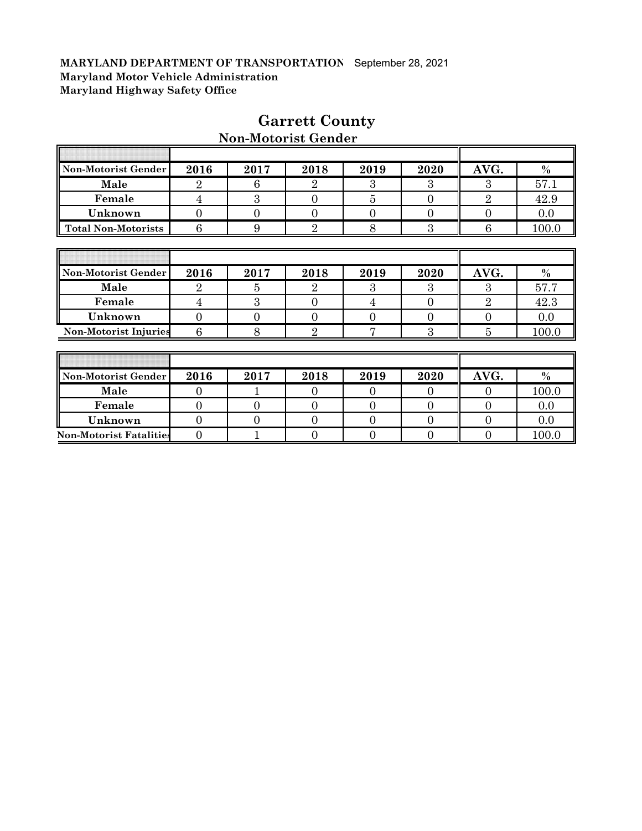| Non-Motorist Gender            | 2016           | 2017           | 2018           | 2019           | 2020           | AVG.           | $\frac{0}{0}$ |
|--------------------------------|----------------|----------------|----------------|----------------|----------------|----------------|---------------|
| Male                           | $\overline{2}$ | 6              | $\overline{2}$ | 3              | 3              | 3              | 57.1          |
| Female                         | 4              | 3              | $\overline{0}$ | 5              | $\Omega$       | $\overline{2}$ | 42.9          |
| Unknown                        | $\overline{0}$ | $\Omega$       | $\Omega$       | $\Omega$       | $\overline{0}$ | $\overline{0}$ | 0.0           |
| <b>Total Non-Motorists</b>     | 6              | 9              | $\overline{2}$ | 8              | 3              | 6              | 100.0         |
|                                |                |                |                |                |                |                |               |
|                                |                |                |                |                |                |                |               |
| Non-Motorist Gender            | 2016           | 2017           | 2018           | 2019           | 2020           | AVG.           | $\frac{0}{0}$ |
| Male                           | $\overline{2}$ | 5              | $\overline{2}$ | 3              | 3              | 3              | 57.7          |
| Female                         | $\overline{4}$ | 3              | $\overline{0}$ | $\overline{4}$ | $\overline{0}$ | $\overline{2}$ | 42.3          |
| Unknown                        | $\overline{0}$ | $\overline{0}$ | $\overline{0}$ | $\Omega$       | $\overline{0}$ | $\overline{0}$ | 0.0           |
| <b>Non-Motorist Injuries</b>   | 6              | 8              | $\overline{2}$ | 7              | 3              | 5              | 100.0         |
|                                |                |                |                |                |                |                |               |
|                                |                |                |                |                |                |                |               |
| Non-Motorist Gender            | 2016           | 2017           | 2018           | 2019           | 2020           | AVG.           | $\%$          |
| Male                           | $\overline{0}$ | 1              | $\Omega$       | $\Omega$       | $\Omega$       | $\Omega$       | 100.0         |
| Female                         | $\overline{0}$ | $\overline{0}$ | $\theta$       | $\theta$       | $\overline{0}$ | $\overline{0}$ | 0.0           |
| Unknown                        | $\overline{0}$ | $\theta$       | $\overline{0}$ | $\theta$       | $\overline{0}$ | $\overline{0}$ | 0.0           |
| <b>Non-Motorist Fatalities</b> | $\overline{0}$ |                | 0              | $\overline{0}$ | 0              | $\overline{0}$ | 100.0         |

# **Garrett County**

# **Non-Motorist Gender**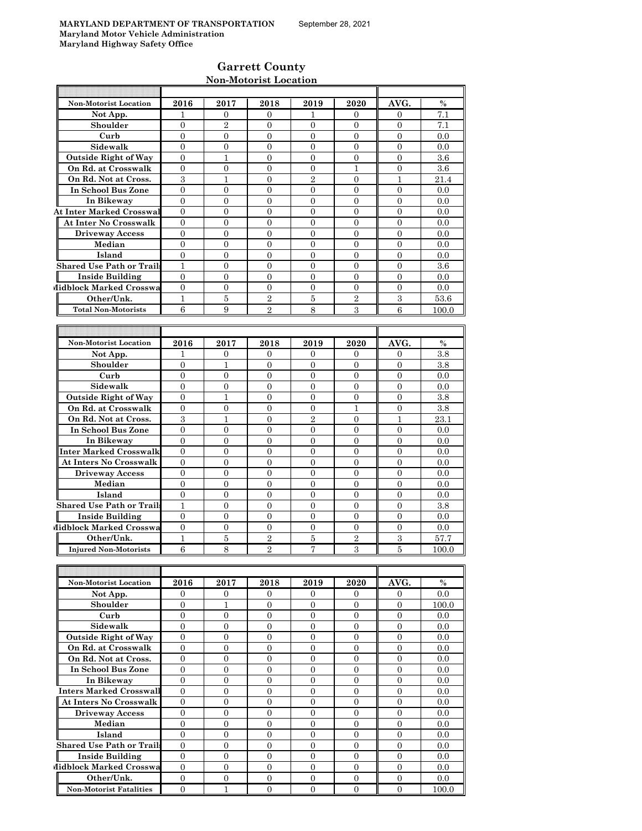# **Garrett County Non-Motorist Location**

| <b>Non-Motorist Location</b>     | 2016             | 2017             | 2018             | 2019             | 2020             | AVG.             | $\%$    |
|----------------------------------|------------------|------------------|------------------|------------------|------------------|------------------|---------|
| Not App.                         | 1                | 0                | 0                | 1                | $\overline{0}$   | 0                | 7.1     |
| Shoulder                         | $\mathbf{0}$     | $\overline{2}$   | $\overline{0}$   | $\mathbf{0}$     | $\mathbf{0}$     | 0                | 7.1     |
| Curb                             | $\mathbf{0}$     | $\overline{0}$   | $\overline{0}$   | $\mathbf{0}$     | $\mathbf{0}$     | $\mathbf{0}$     | 0.0     |
| Sidewalk                         | $\Omega$         | $\Omega$         | $\theta$         | $\Omega$         | $\Omega$         | $\Omega$         | 0.0     |
| <b>Outside Right of Way</b>      | $\overline{0}$   | 1                | $\overline{0}$   | $\overline{0}$   | $\mathbf{0}$     | $\overline{0}$   | $3.6\,$ |
| On Rd. at Crosswalk              | $\overline{0}$   | $\mathbf{0}$     | 0                | $\mathbf{0}$     | 1                | $\mathbf{0}$     | 3.6     |
| On Rd. Not at Cross.             | 3                | 1                | $\overline{0}$   | $\overline{2}$   | $\Omega$         | 1                | 21.4    |
| In School Bus Zone               | $\overline{0}$   | $\overline{0}$   | $\overline{0}$   | $\overline{0}$   | $\overline{0}$   | $\overline{0}$   | 0.0     |
| In Bikeway                       | $\mathbf{0}$     | $\overline{0}$   | $\overline{0}$   | $\overline{0}$   | $\overline{0}$   | $\overline{0}$   | 0.0     |
| <b>At Inter Marked Crosswal</b>  | $\overline{0}$   | $\overline{0}$   | $\boldsymbol{0}$ | $\mathbf{0}$     | $\mathbf{0}$     | 0                | 0.0     |
| <b>At Inter No Crosswalk</b>     | $\mathbf{0}$     | $\overline{0}$   | $\overline{0}$   | $\overline{0}$   | $\overline{0}$   | $\overline{0}$   | 0.0     |
| <b>Driveway Access</b>           | $\overline{0}$   | $\overline{0}$   | $\overline{0}$   | $\overline{0}$   | $\Omega$         | $\Omega$         | 0.0     |
| Median                           | $\overline{0}$   | $\overline{0}$   | $\overline{0}$   | $\overline{0}$   | $\Omega$         | $\overline{0}$   | 0.0     |
| Island                           | $\overline{0}$   | $\overline{0}$   | $\overline{0}$   | $\mathbf{0}$     | $\overline{0}$   | $\mathbf{0}$     | 0.0     |
| <b>Shared Use Path or Trails</b> | $\mathbf{1}$     | $\overline{0}$   | $\overline{0}$   | $\overline{0}$   | $\mathbf{0}$     | $\theta$         | 3.6     |
| <b>Inside Building</b>           | $\mathbf{0}$     | $\overline{0}$   | $\overline{0}$   | $\mathbf{0}$     | $\overline{0}$   | $\overline{0}$   | 0.0     |
| Midblock Marked Crosswa          | $\theta$         | $\overline{0}$   | 0                | $\mathbf{0}$     | $\mathbf{0}$     | $\mathbf{0}$     | 0.0     |
| Other/Unk.                       | $\mathbf{1}$     | 5                | $\overline{2}$   | 5                | $\overline{2}$   | 3                | 53.6    |
| <b>Total Non-Motorists</b>       | 6                | 9                | $\overline{2}$   | 8                | 3                | 6                | 100.0   |
|                                  |                  |                  |                  |                  |                  |                  |         |
|                                  |                  |                  |                  |                  |                  |                  |         |
| <b>Non-Motorist Location</b>     | 2016             | 2017             | 2018             | 2019             | 2020             | AVG.             | $\%$    |
| Not App.                         | 1                | $\mathbf{0}$     | 0                | 0                | $\overline{0}$   | $\mathbf{0}$     | 3.8     |
| Shoulder                         | $\mathbf{0}$     | $\mathbf{1}$     | $\overline{0}$   | $\mathbf{0}$     | $\overline{0}$   | $\overline{0}$   | 3.8     |
| Curb                             | $\overline{0}$   | 0                | 0                | $\mathbf{0}$     | $\mathbf{0}$     | $\theta$         | 0.0     |
| Sidewalk                         | $\mathbf{0}$     | $\overline{0}$   | $\overline{0}$   | $\overline{0}$   | $\overline{0}$   | $\overline{0}$   | 0.0     |
| <b>Outside Right of Way</b>      | $\theta$         | $\mathbf{1}$     | $\overline{0}$   | $\overline{0}$   | $\overline{0}$   | $\overline{0}$   | 3.8     |
| On Rd. at Crosswalk              | $\overline{0}$   | $\overline{0}$   | $\overline{0}$   | $\overline{0}$   | 1                | $\overline{0}$   | 3.8     |
| On Rd. Not at Cross.             | $\sqrt{3}$       | 1                | $\overline{0}$   | $\overline{2}$   | $\overline{0}$   | 1                | 23.1    |
| In School Bus Zone               | $\mathbf{0}$     | $\overline{0}$   | $\overline{0}$   | $\mathbf{0}$     | $\Omega$         | $\overline{0}$   | 0.0     |
| In Bikeway                       | $\mathbf{0}$     | $\mathbf{0}$     | $\overline{0}$   | $\mathbf{0}$     | $\overline{0}$   | $\overline{0}$   | 0.0     |
| Inter Marked Crosswalk           | $\mathbf{0}$     | $\mathbf{0}$     | $\overline{0}$   | $\mathbf{0}$     | $\mathbf{0}$     | $\theta$         | 0.0     |
| <b>At Inters No Crosswalk</b>    | $\overline{0}$   | $\overline{0}$   | $\overline{0}$   | $\overline{0}$   | $\overline{0}$   | $\overline{0}$   | 0.0     |
| <b>Driveway Access</b>           | $\mathbf{0}$     | $\overline{0}$   | $\overline{0}$   | $\overline{0}$   | $\overline{0}$   | $\overline{0}$   | 0.0     |
| Median                           | $\overline{0}$   | $\overline{0}$   | $\overline{0}$   | $\mathbf{0}$     | $\overline{0}$   | $\mathbf{0}$     | 0.0     |
| Island                           | $\overline{0}$   | $\overline{0}$   | $\boldsymbol{0}$ | $\mathbf{0}$     | $\mathbf{0}$     | $\mathbf{0}$     | 0.0     |
| <b>Shared Use Path or Trails</b> | $\mathbf{1}$     | $\Omega$         | $\overline{0}$   | $\Omega$         | $\Omega$         | $\Omega$         | 3.8     |
| <b>Inside Building</b>           | $\overline{0}$   | $\overline{0}$   | $\overline{0}$   | $\overline{0}$   | $\overline{0}$   | $\overline{0}$   | 0.0     |
| Midblock Marked Crosswa          | $\overline{0}$   | $\mathbf{0}$     | 0                | $\mathbf{0}$     | $\mathbf{0}$     | $\mathbf{0}$     | 0.0     |
| Other/Unk.                       | 1                | 5                | $\overline{2}$   | $\overline{5}$   | $\overline{2}$   | 3                | 57.7    |
| <b>Injured Non-Motorists</b>     | 6                | 8                | $\overline{2}$   | 7                | 3                | 5                | 100.0   |
|                                  |                  |                  |                  |                  |                  |                  |         |
|                                  |                  |                  |                  |                  |                  |                  |         |
| Non-Motorist Location            | 2016             | 2017             | 2018             | 2019             | 2020             | AVG.             | $\%$    |
| Not App.                         | $\overline{0}$   | $\overline{0}$   | $\overline{0}$   | $\overline{0}$   | $\overline{0}$   | $\mathbf{0}$     | 0.0     |
| Shoulder                         | $\mathbf{0}$     | $\mathbf{1}$     | $\overline{0}$   | $\mathbf{0}$     | $\mathbf{0}$     | $\mathbf{0}$     | 100.0   |
| Curb                             | $\overline{0}$   | $\overline{0}$   | 0                | $\overline{0}$   | $\mathbf{0}$     | $\mathbf{0}$     | $0.0\,$ |
| Sidewalk                         | $\overline{0}$   | $\overline{0}$   | $\overline{0}$   | $\overline{0}$   | $\overline{0}$   | $\mathbf{0}$     | 0.0     |
| <b>Outside Right of Way</b>      | $\mathbf{0}$     | $\boldsymbol{0}$ | $\boldsymbol{0}$ | $\overline{0}$   | $\boldsymbol{0}$ | $\mathbf{0}$     | 0.0     |
| On Rd. at Crosswalk              | $\mathbf{0}$     | $\boldsymbol{0}$ | $\boldsymbol{0}$ | $\overline{0}$   | $\overline{0}$   | $\boldsymbol{0}$ | 0.0     |
| On Rd. Not at Cross.             | $\overline{0}$   | 0                | 0                | 0                | $\boldsymbol{0}$ | $\mathbf{0}$     | 0.0     |
| In School Bus Zone               | $\overline{0}$   | $\overline{0}$   | $\overline{0}$   | $\overline{0}$   | $\overline{0}$   | $\overline{0}$   | 0.0     |
| In Bikeway                       | $\boldsymbol{0}$ | $\overline{0}$   | $\overline{0}$   | $\mathbf{0}$     | $\overline{0}$   | $\mathbf{0}$     | 0.0     |
| <b>Inters Marked Crosswall</b>   | $\overline{0}$   | $\overline{0}$   | 0                | $\overline{0}$   | $\overline{0}$   | $\overline{0}$   | $0.0\,$ |
| <b>At Inters No Crosswalk</b>    | 0                | $\overline{0}$   | 0                | $\overline{0}$   | $\overline{0}$   | $\overline{0}$   | 0.0     |
| <b>Driveway Access</b>           | $\overline{0}$   | $\mathbf{0}$     | $\overline{0}$   | $\overline{0}$   | $\overline{0}$   | $\overline{0}$   | 0.0     |
| Median                           | $\boldsymbol{0}$ | $\overline{0}$   | $\boldsymbol{0}$ | $\overline{0}$   | $\overline{0}$   | $\mathbf{0}$     | 0.0     |
| Island                           | $\mathbf{0}$     | $\boldsymbol{0}$ | 0                | $\boldsymbol{0}$ | $\boldsymbol{0}$ | $\mathbf{0}$     | 0.0     |
| <b>Shared Use Path or Trails</b> | $\overline{0}$   | $\overline{0}$   | 0                | $\overline{0}$   | $\overline{0}$   | $\overline{0}$   | 0.0     |
| <b>Inside Building</b>           | $\overline{0}$   | $\boldsymbol{0}$ | 0                | $\mathbf{0}$     | $\mathbf{0}$     | $\boldsymbol{0}$ | 0.0     |
|                                  | $\overline{0}$   | $\overline{0}$   | 0                | $\Omega$         | $\Omega$         | $\mathbf{0}$     | 0.0     |
| Midblock Marked Crosswa          |                  |                  |                  |                  |                  |                  |         |

**Other/Unk.** 0 0 0 0 0 0 0.0 **Non-Motorist Fatalities** 0 1 0 0 0 0 0 100.0